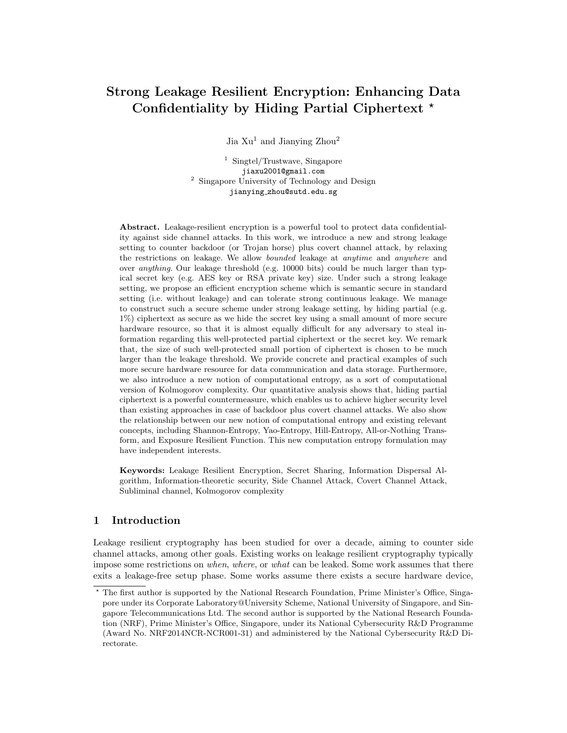# Strong Leakage Resilient Encryption: Enhancing Data Confidentiality by Hiding Partial Ciphertext \*

Jia  $Xu^1$  and Jianying Zhou<sup>2</sup>

<sup>1</sup> Singtel/Trustwave, Singapore jiaxu2001@gmail.com <sup>2</sup> Singapore University of Technology and Design jianying zhou@sutd.edu.sg

Abstract. Leakage-resilient encryption is a powerful tool to protect data confidentiality against side channel attacks. In this work, we introduce a new and strong leakage setting to counter backdoor (or Trojan horse) plus covert channel attack, by relaxing the restrictions on leakage. We allow bounded leakage at anytime and anywhere and over anything. Our leakage threshold (e.g. 10000 bits) could be much larger than typical secret key (e.g. AES key or RSA private key) size. Under such a strong leakage setting, we propose an efficient encryption scheme which is semantic secure in standard setting (i.e. without leakage) and can tolerate strong continuous leakage. We manage to construct such a secure scheme under strong leakage setting, by hiding partial (e.g. 1%) ciphertext as secure as we hide the secret key using a small amount of more secure hardware resource, so that it is almost equally difficult for any adversary to steal information regarding this well-protected partial ciphertext or the secret key. We remark that, the size of such well-protected small portion of ciphertext is chosen to be much larger than the leakage threshold. We provide concrete and practical examples of such more secure hardware resource for data communication and data storage. Furthermore, we also introduce a new notion of computational entropy, as a sort of computational version of Kolmogorov complexity. Our quantitative analysis shows that, hiding partial ciphertext is a powerful countermeasure, which enables us to achieve higher security level than existing approaches in case of backdoor plus covert channel attacks. We also show the relationship between our new notion of computational entropy and existing relevant concepts, including Shannon-Entropy, Yao-Entropy, Hill-Entropy, All-or-Nothing Transform, and Exposure Resilient Function. This new computation entropy formulation may have independent interests.

Keywords: Leakage Resilient Encryption, Secret Sharing, Information Dispersal Algorithm, Information-theoretic security, Side Channel Attack, Covert Channel Attack, Subliminal channel, Kolmogorov complexity

# <span id="page-0-0"></span>1 Introduction

Leakage resilient cryptography has been studied for over a decade, aiming to counter side channel attacks, among other goals. Existing works on leakage resilient cryptography typically impose some restrictions on when, where, or what can be leaked. Some work assumes that there exits a leakage-free setup phase. Some works assume there exists a secure hardware device,

<sup>?</sup> The first author is supported by the National Research Foundation, Prime Minister's Office, Singapore under its Corporate Laboratory@University Scheme, National University of Singapore, and Singapore Telecommunications Ltd. The second author is supported by the National Research Foundation (NRF), Prime Minister's Office, Singapore, under its National Cybersecurity R&D Programme (Award No. NRF2014NCR-NCR001-31) and administered by the National Cybersecurity R&D Directorate.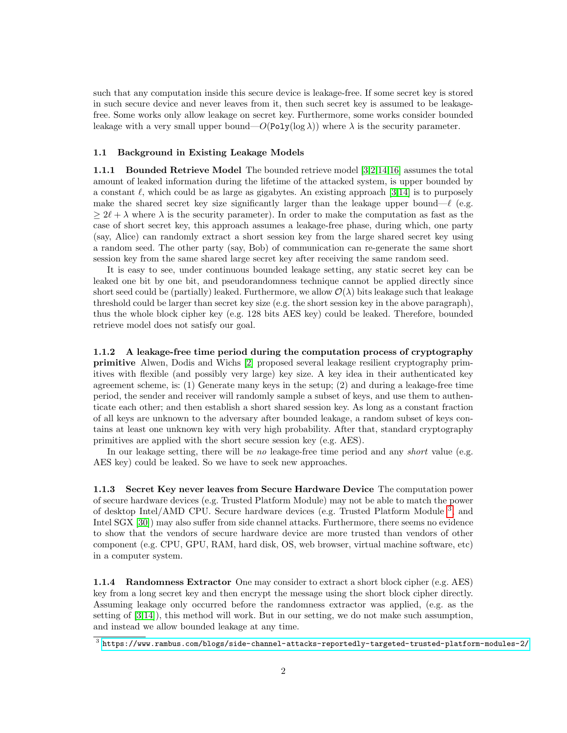such that any computation inside this secure device is leakage-free. If some secret key is stored in such secure device and never leaves from it, then such secret key is assumed to be leakagefree. Some works only allow leakage on secret key. Furthermore, some works consider bounded leakage with a very small upper bound— $O(Poly(log \lambda))$  where  $\lambda$  is the security parameter.

#### <span id="page-1-1"></span>1.1 Background in Existing Leakage Models

1.1.1 Bounded Retrieve Model The bounded retrieve model [\[3,](#page-20-0)[2](#page-20-1)[,14,](#page-20-2)[16\]](#page-20-3) assumes the total amount of leaked information during the lifetime of the attacked system, is upper bounded by a constant  $\ell$ , which could be as large as gigabytes. An existing approach [\[3,](#page-20-0)[14\]](#page-20-2) is to purposely make the shared secret key size significantly larger than the leakage upper bound— $\ell$  (e.g.  $\geq 2\ell + \lambda$  where  $\lambda$  is the security parameter). In order to make the computation as fast as the case of short secret key, this approach assumes a leakage-free phase, during which, one party (say, Alice) can randomly extract a short session key from the large shared secret key using a random seed. The other party (say, Bob) of communication can re-generate the same short session key from the same shared large secret key after receiving the same random seed.

It is easy to see, under continuous bounded leakage setting, any static secret key can be leaked one bit by one bit, and pseudorandomness technique cannot be applied directly since short seed could be (partially) leaked. Furthermore, we allow  $\mathcal{O}(\lambda)$  bits leakage such that leakage threshold could be larger than secret key size (e.g. the short session key in the above paragraph), thus the whole block cipher key (e.g. 128 bits AES key) could be leaked. Therefore, bounded retrieve model does not satisfy our goal.

1.1.2 A leakage-free time period during the computation process of cryptography primitive Alwen, Dodis and Wichs [\[2\]](#page-20-1) proposed several leakage resilient cryptography primitives with flexible (and possibly very large) key size. A key idea in their authenticated key agreement scheme, is: (1) Generate many keys in the setup; (2) and during a leakage-free time period, the sender and receiver will randomly sample a subset of keys, and use them to authenticate each other; and then establish a short shared session key. As long as a constant fraction of all keys are unknown to the adversary after bounded leakage, a random subset of keys contains at least one unknown key with very high probability. After that, standard cryptography primitives are applied with the short secure session key (e.g. AES).

In our leakage setting, there will be no leakage-free time period and any *short* value (e.g. AES key) could be leaked. So we have to seek new approaches.

1.1.3 Secret Key never leaves from Secure Hardware Device The computation power of secure hardware devices (e.g. Trusted Platform Module) may not be able to match the power of desktop Intel/AMD CPU. Secure hardware devices (e.g. Trusted Platform Module <sup>[3](#page-1-0)</sup>, and Intel SGX [\[30\]](#page-21-0)) may also suffer from side channel attacks. Furthermore, there seems no evidence to show that the vendors of secure hardware device are more trusted than vendors of other component (e.g. CPU, GPU, RAM, hard disk, OS, web browser, virtual machine software, etc) in a computer system.

1.1.4 Randomness Extractor One may consider to extract a short block cipher (e.g. AES) key from a long secret key and then encrypt the message using the short block cipher directly. Assuming leakage only occurred before the randomness extractor was applied, (e.g. as the setting of [\[3,](#page-20-0)[14\]](#page-20-2)), this method will work. But in our setting, we do not make such assumption, and instead we allow bounded leakage at any time.

<span id="page-1-0"></span> $^3$  <https://www.rambus.com/blogs/side-channel-attacks-reportedly-targeted-trusted-platform-modules-2/>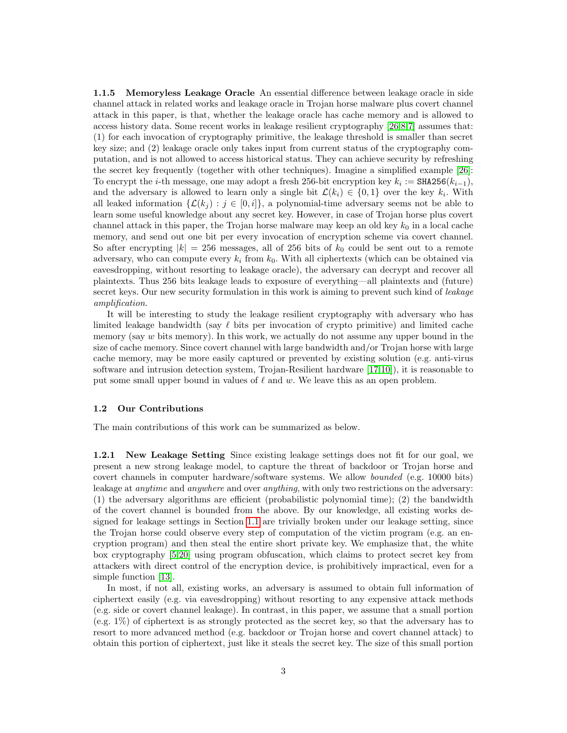<span id="page-2-0"></span>1.1.5 Memoryless Leakage Oracle An essential difference between leakage oracle in side channel attack in related works and leakage oracle in Trojan horse malware plus covert channel attack in this paper, is that, whether the leakage oracle has cache memory and is allowed to access history data. Some recent works in leakage resilient cryptography [\[26,](#page-21-1)[8,](#page-20-4)[7\]](#page-20-5) assumes that: (1) for each invocation of cryptography primitive, the leakage threshold is smaller than secret key size; and (2) leakage oracle only takes input from current status of the cryptography computation, and is not allowed to access historical status. They can achieve security by refreshing the secret key frequently (together with other techniques). Imagine a simplified example [\[26\]](#page-21-1): To encrypt the *i*-th message, one may adopt a fresh 256-bit encryption key  $k_i :=$  SHA256( $k_{i-1}$ ), and the adversary is allowed to learn only a single bit  $\mathcal{L}(k_i) \in \{0,1\}$  over the key  $k_i$ . With all leaked information  $\{\mathcal{L}(k_i) : j \in [0, i]\}$ , a polynomial-time adversary seems not be able to learn some useful knowledge about any secret key. However, in case of Trojan horse plus covert channel attack in this paper, the Trojan horse malware may keep an old key  $k_0$  in a local cache memory, and send out one bit per every invocation of encryption scheme via covert channel. So after encrypting  $|k| = 256$  messages, all of 256 bits of  $k_0$  could be sent out to a remote adversary, who can compute every  $k_i$  from  $k_0$ . With all ciphertexts (which can be obtained via eavesdropping, without resorting to leakage oracle), the adversary can decrypt and recover all plaintexts. Thus 256 bits leakage leads to exposure of everything—all plaintexts and (future) secret keys. Our new security formulation in this work is aiming to prevent such kind of leakage amplification.

It will be interesting to study the leakage resilient cryptography with adversary who has limited leakage bandwidth (say  $\ell$  bits per invocation of crypto primitive) and limited cache memory (say  $w$  bits memory). In this work, we actually do not assume any upper bound in the size of cache memory. Since covert channel with large bandwidth and/or Trojan horse with large cache memory, may be more easily captured or prevented by existing solution (e.g. anti-virus software and intrusion detection system, Trojan-Resilient hardware [\[17,](#page-20-6)[10\]](#page-20-7)), it is reasonable to put some small upper bound in values of  $\ell$  and w. We leave this as an open problem.

#### 1.2 Our Contributions

The main contributions of this work can be summarized as below.

1.2.1 New Leakage Setting Since existing leakage settings does not fit for our goal, we present a new strong leakage model, to capture the threat of backdoor or Trojan horse and covert channels in computer hardware/software systems. We allow bounded (e.g. 10000 bits) leakage at anytime and anywhere and over anything, with only two restrictions on the adversary: (1) the adversary algorithms are efficient (probabilistic polynomial time); (2) the bandwidth of the covert channel is bounded from the above. By our knowledge, all existing works designed for leakage settings in Section [1.1](#page-1-1) are trivially broken under our leakage setting, since the Trojan horse could observe every step of computation of the victim program (e.g. an encryption program) and then steal the entire short private key. We emphasize that, the white box cryptography [\[5](#page-20-8)[,20\]](#page-20-9) using program obfuscation, which claims to protect secret key from attackers with direct control of the encryption device, is prohibitively impractical, even for a simple function [\[13\]](#page-20-10).

In most, if not all, existing works, an adversary is assumed to obtain full information of ciphertext easily (e.g. via eavesdropping) without resorting to any expensive attack methods (e.g. side or covert channel leakage). In contrast, in this paper, we assume that a small portion (e.g. 1%) of ciphertext is as strongly protected as the secret key, so that the adversary has to resort to more advanced method (e.g. backdoor or Trojan horse and covert channel attack) to obtain this portion of ciphertext, just like it steals the secret key. The size of this small portion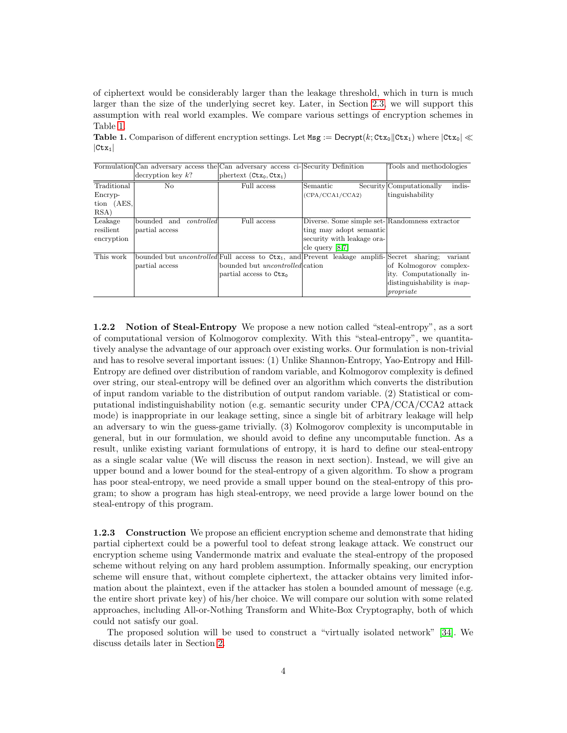of ciphertext would be considerably larger than the leakage threshold, which in turn is much larger than the size of the underlying secret key. Later, in Section [2.3,](#page-8-0) we will support this assumption with real world examples. We compare various settings of encryption schemes in Table [1.](#page-3-0)

<span id="page-3-0"></span>**Table 1.** Comparison of different encryption settings. Let  $\text{Msg} := \text{Decrypt}(k; \text{ctx}_0 | \text{ctx}_1)$  where  $|\text{Cx}_0| \ll$  $|Ctx_1|$ 

|             |                           | Formulation Can adversary access the Can adversary access ci-Security Definition                            |                                               | Tools and methodologies             |
|-------------|---------------------------|-------------------------------------------------------------------------------------------------------------|-----------------------------------------------|-------------------------------------|
|             | decryption key $k$ ?      | $ $ phertext $(Ctx_0, Ctx_1)$                                                                               |                                               |                                     |
| Traditional | No.                       | Full access                                                                                                 | Semantic                                      | indis-<br>Security Computationally  |
| Encryp-     |                           |                                                                                                             | (CPA/CCA1/CCA2)                               | tinguishability                     |
| tion (AES,  |                           |                                                                                                             |                                               |                                     |
| RSA)        |                           |                                                                                                             |                                               |                                     |
| Leakage     | controlled<br>bounded and | Full access                                                                                                 | Diverse. Some simple set-Randomness extractor |                                     |
| resilient   | partial access            |                                                                                                             | ting may adopt semantic                       |                                     |
| encryption  |                           |                                                                                                             | security with leakage ora-                    |                                     |
|             |                           |                                                                                                             | cle query [8,7]                               |                                     |
| This work   |                           | bounded but <i>uncontrolled</i> Full access to $\text{Ctx}_1$ , and Prevent leakage amplifi-Secret sharing; |                                               | variant                             |
|             | partial access            | bounded but <i>uncontrolled</i> cation                                                                      |                                               | of Kolmogorov complex-              |
|             |                           | partial access to Ctx <sub>0</sub>                                                                          |                                               | lity. Computationally in-           |
|             |                           |                                                                                                             |                                               | distinguishability is <i>inap</i> - |
|             |                           |                                                                                                             |                                               | propriate                           |

1.2.2 Notion of Steal-Entropy We propose a new notion called "steal-entropy", as a sort of computational version of Kolmogorov complexity. With this "steal-entropy", we quantitatively analyse the advantage of our approach over existing works. Our formulation is non-trivial and has to resolve several important issues: (1) Unlike Shannon-Entropy, Yao-Entropy and Hill-Entropy are defined over distribution of random variable, and Kolmogorov complexity is defined over string, our steal-entropy will be defined over an algorithm which converts the distribution of input random variable to the distribution of output random variable. (2) Statistical or computational indistinguishability notion (e.g. semantic security under CPA/CCA/CCA2 attack mode) is inappropriate in our leakage setting, since a single bit of arbitrary leakage will help an adversary to win the guess-game trivially. (3) Kolmogorov complexity is uncomputable in general, but in our formulation, we should avoid to define any uncomputable function. As a result, unlike existing variant formulations of entropy, it is hard to define our steal-entropy as a single scalar value (We will discuss the reason in next section). Instead, we will give an upper bound and a lower bound for the steal-entropy of a given algorithm. To show a program has poor steal-entropy, we need provide a small upper bound on the steal-entropy of this program; to show a program has high steal-entropy, we need provide a large lower bound on the steal-entropy of this program.

1.2.3 Construction We propose an efficient encryption scheme and demonstrate that hiding partial ciphertext could be a powerful tool to defeat strong leakage attack. We construct our encryption scheme using Vandermonde matrix and evaluate the steal-entropy of the proposed scheme without relying on any hard problem assumption. Informally speaking, our encryption scheme will ensure that, without complete ciphertext, the attacker obtains very limited information about the plaintext, even if the attacker has stolen a bounded amount of message (e.g. the entire short private key) of his/her choice. We will compare our solution with some related approaches, including All-or-Nothing Transform and White-Box Cryptography, both of which could not satisfy our goal.

The proposed solution will be used to construct a "virtually isolated network" [\[34\]](#page-21-2). We discuss details later in Section [2.](#page-4-0)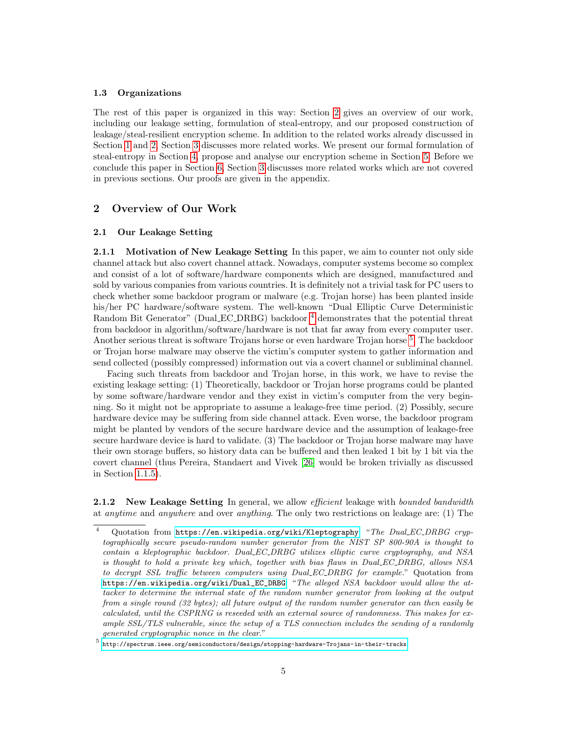#### 1.3 Organizations

The rest of this paper is organized in this way: Section [2](#page-4-0) gives an overview of our work, including our leakage setting, formulation of steal-entropy, and our proposed construction of leakage/steal-resilient encryption scheme. In addition to the related works already discussed in Section [1](#page-0-0) and [2,](#page-4-0) Section [3](#page-9-0) discusses more related works. We present our formal formulation of steal-entropy in Section [4,](#page-10-0) propose and analyse our encryption scheme in Section [5.](#page-16-0) Before we conclude this paper in Section [6,](#page-19-0) Section [3](#page-9-0) discusses more related works which are not covered in previous sections. Our proofs are given in the appendix.

# <span id="page-4-0"></span>2 Overview of Our Work

#### 2.1 Our Leakage Setting

2.1.1 Motivation of New Leakage Setting In this paper, we aim to counter not only side channel attack but also covert channel attack. Nowadays, computer systems become so complex and consist of a lot of software/hardware components which are designed, manufactured and sold by various companies from various countries. It is definitely not a trivial task for PC users to check whether some backdoor program or malware (e.g. Trojan horse) has been planted inside his/her PC hardware/software system. The well-known "Dual Elliptic Curve Deterministic Random Bit Generator" (Dual EC DRBG) backdoor <sup>[4](#page-4-1)</sup> demonstrates that the potential threat from backdoor in algorithm/software/hardware is not that far away from every computer user. Another serious threat is software Trojans horse or even hardware Trojan horse <sup>[5](#page-4-2)</sup>. The backdoor or Trojan horse malware may observe the victim's computer system to gather information and send collected (possibly compressed) information out via a covert channel or subliminal channel.

Facing such threats from backdoor and Trojan horse, in this work, we have to revise the existing leakage setting: (1) Theoretically, backdoor or Trojan horse programs could be planted by some software/hardware vendor and they exist in victim's computer from the very beginning. So it might not be appropriate to assume a leakage-free time period. (2) Possibly, secure hardware device may be suffering from side channel attack. Even worse, the backdoor program might be planted by vendors of the secure hardware device and the assumption of leakage-free secure hardware device is hard to validate. (3) The backdoor or Trojan horse malware may have their own storage buffers, so history data can be buffered and then leaked 1 bit by 1 bit via the covert channel (thus Pereira, Standaert and Vivek [\[26\]](#page-21-1) would be broken trivially as discussed in Section [1.1.5\)](#page-2-0).

2.1.2 New Leakage Setting In general, we allow *efficient* leakage with *bounded bandwidth* at anytime and anywhere and over anything. The only two restrictions on leakage are: (1) The

<span id="page-4-1"></span> $\overline{4}$  Quotation from <https://en.wikipedia.org/wiki/Kleptography>: "The Dual EC DRBG cryptographically secure pseudo-random number generator from the NIST SP 800-90A is thought to contain a kleptographic backdoor. Dual EC DRBG utilizes elliptic curve cryptography, and NSA is thought to hold a private key which, together with bias flaws in Dual EC DRBG, allows NSA to decrypt SSL traffic between computers using Dual EC DRBG for example." Quotation from [https://en.wikipedia.org/wiki/Dual\\_EC\\_DRBG](https://en.wikipedia.org/wiki/Dual_EC_DRBG): "The alleged NSA backdoor would allow the attacker to determine the internal state of the random number generator from looking at the output from a single round (32 bytes); all future output of the random number generator can then easily be calculated, until the CSPRNG is reseeded with an external source of randomness. This makes for example SSL/TLS vulnerable, since the setup of a TLS connection includes the sending of a randomly generated cryptographic nonce in the clear."

<span id="page-4-2"></span> $^5\,$  <http://spectrum.ieee.org/semiconductors/design/stopping-hardware-Trojans-in-their-tracks>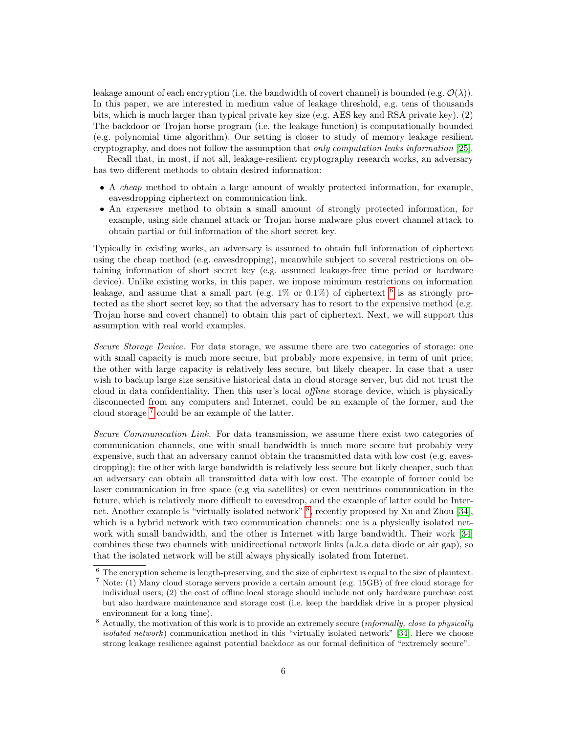leakage amount of each encryption (i.e. the bandwidth of covert channel) is bounded (e.g.  $\mathcal{O}(\lambda)$ ). In this paper, we are interested in medium value of leakage threshold, e.g. tens of thousands bits, which is much larger than typical private key size (e.g. AES key and RSA private key). (2) The backdoor or Trojan horse program (i.e. the leakage function) is computationally bounded (e.g. polynomial time algorithm). Our setting is closer to study of memory leakage resilient cryptography, and does not follow the assumption that only computation leaks information [\[25\]](#page-21-3).

Recall that, in most, if not all, leakage-resilient cryptography research works, an adversary has two different methods to obtain desired information:

- A cheap method to obtain a large amount of weakly protected information, for example, eavesdropping ciphertext on communication link.
- An expensive method to obtain a small amount of strongly protected information, for example, using side channel attack or Trojan horse malware plus covert channel attack to obtain partial or full information of the short secret key.

Typically in existing works, an adversary is assumed to obtain full information of ciphertext using the cheap method (e.g. eavesdropping), meanwhile subject to several restrictions on obtaining information of short secret key (e.g. assumed leakage-free time period or hardware device). Unlike existing works, in this paper, we impose minimum restrictions on information leakage, and assume that a small part (e.g.  $1\%$  or  $0.1\%$ ) of ciphertext  $^6$  $^6$  is as strongly protected as the short secret key, so that the adversary has to resort to the expensive method (e.g. Trojan horse and covert channel) to obtain this part of ciphertext. Next, we will support this assumption with real world examples.

Secure Storage Device. For data storage, we assume there are two categories of storage: one with small capacity is much more secure, but probably more expensive, in term of unit price; the other with large capacity is relatively less secure, but likely cheaper. In case that a user wish to backup large size sensitive historical data in cloud storage server, but did not trust the cloud in data confidentiality. Then this user's local offline storage device, which is physically disconnected from any computers and Internet, could be an example of the former, and the cloud storage [7](#page-5-1) could be an example of the latter.

Secure Communication Link. For data transmission, we assume there exist two categories of communication channels, one with small bandwidth is much more secure but probably very expensive, such that an adversary cannot obtain the transmitted data with low cost (e.g. eavesdropping); the other with large bandwidth is relatively less secure but likely cheaper, such that an adversary can obtain all transmitted data with low cost. The example of former could be laser communication in free space (e.g via satellites) or even neutrinos communication in the future, which is relatively more difficult to eavesdrop, and the example of latter could be Inter-net. Another example is "virtually isolated network" <sup>[8](#page-5-2)</sup>, recently proposed by Xu and Zhou [\[34\]](#page-21-2), which is a hybrid network with two communication channels: one is a physically isolated network with small bandwidth, and the other is Internet with large bandwidth. Their work [\[34\]](#page-21-2) combines these two channels with unidirectional network links (a.k.a data diode or air gap), so that the isolated network will be still always physically isolated from Internet.

<span id="page-5-0"></span><sup>6</sup> The encryption scheme is length-preserving, and the size of ciphertext is equal to the size of plaintext.

<span id="page-5-1"></span><sup>7</sup> Note: (1) Many cloud storage servers provide a certain amount (e.g. 15GB) of free cloud storage for individual users; (2) the cost of offline local storage should include not only hardware purchase cost but also hardware maintenance and storage cost (i.e. keep the harddisk drive in a proper physical environment for a long time).

<span id="page-5-2"></span> $8$  Actually, the motivation of this work is to provide an extremely secure (*informally, close to physically* isolated network) communication method in this "virtually isolated network" [\[34\]](#page-21-2). Here we choose strong leakage resilience against potential backdoor as our formal definition of "extremely secure".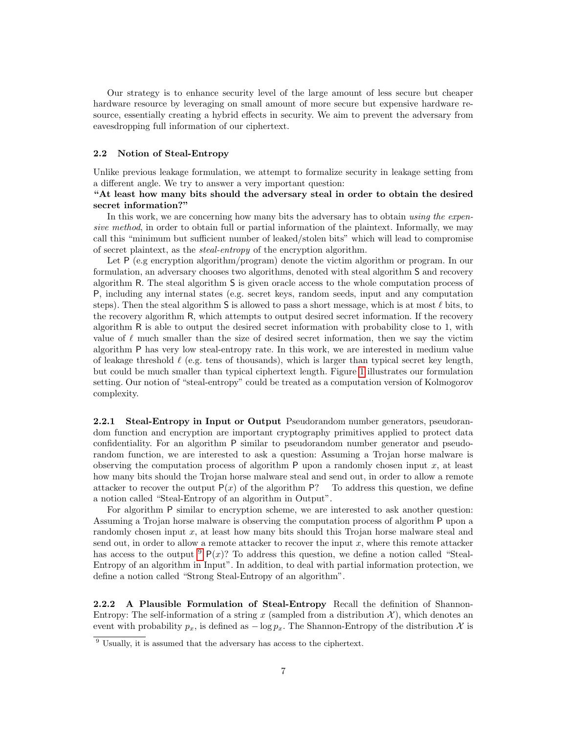Our strategy is to enhance security level of the large amount of less secure but cheaper hardware resource by leveraging on small amount of more secure but expensive hardware resource, essentially creating a hybrid effects in security. We aim to prevent the adversary from eavesdropping full information of our ciphertext.

#### 2.2 Notion of Steal-Entropy

Unlike previous leakage formulation, we attempt to formalize security in leakage setting from a different angle. We try to answer a very important question:

## "At least how many bits should the adversary steal in order to obtain the desired secret information?"

In this work, we are concerning how many bits the adversary has to obtain using the expensive method, in order to obtain full or partial information of the plaintext. Informally, we may call this "minimum but sufficient number of leaked/stolen bits" which will lead to compromise of secret plaintext, as the steal-entropy of the encryption algorithm.

Let P (e.g encryption algorithm/program) denote the victim algorithm or program. In our formulation, an adversary chooses two algorithms, denoted with steal algorithm S and recovery algorithm R. The steal algorithm S is given oracle access to the whole computation process of P, including any internal states (e.g. secret keys, random seeds, input and any computation steps). Then the steal algorithm S is allowed to pass a short message, which is at most  $\ell$  bits, to the recovery algorithm R, which attempts to output desired secret information. If the recovery algorithm R is able to output the desired secret information with probability close to 1, with value of  $\ell$  much smaller than the size of desired secret information, then we say the victim algorithm P has very low steal-entropy rate. In this work, we are interested in medium value of leakage threshold  $\ell$  (e.g. tens of thousands), which is larger than typical secret key length, but could be much smaller than typical ciphertext length. Figure [1](#page-7-0) illustrates our formulation setting. Our notion of "steal-entropy" could be treated as a computation version of Kolmogorov complexity.

2.2.1 Steal-Entropy in Input or Output Pseudorandom number generators, pseudorandom function and encryption are important cryptography primitives applied to protect data confidentiality. For an algorithm P similar to pseudorandom number generator and pseudorandom function, we are interested to ask a question: Assuming a Trojan horse malware is observing the computation process of algorithm  $P$  upon a randomly chosen input x, at least how many bits should the Trojan horse malware steal and send out, in order to allow a remote attacker to recover the output  $P(x)$  of the algorithm P? To address this question, we define a notion called "Steal-Entropy of an algorithm in Output".

For algorithm P similar to encryption scheme, we are interested to ask another question: Assuming a Trojan horse malware is observing the computation process of algorithm P upon a randomly chosen input  $x$ , at least how many bits should this Trojan horse malware steal and send out, in order to allow a remote attacker to recover the input  $x$ , where this remote attacker has access to the output  $9P(x)$  $9P(x)$ ? To address this question, we define a notion called "Steal-Entropy of an algorithm in Input". In addition, to deal with partial information protection, we define a notion called "Strong Steal-Entropy of an algorithm".

2.2.2 A Plausible Formulation of Steal-Entropy Recall the definition of Shannon-Entropy: The self-information of a string x (sampled from a distribution  $\mathcal{X}$ ), which denotes an event with probability  $p_x$ , is defined as  $-\log p_x$ . The Shannon-Entropy of the distribution X is

<span id="page-6-0"></span> $9$  Usually, it is assumed that the adversary has access to the ciphertext.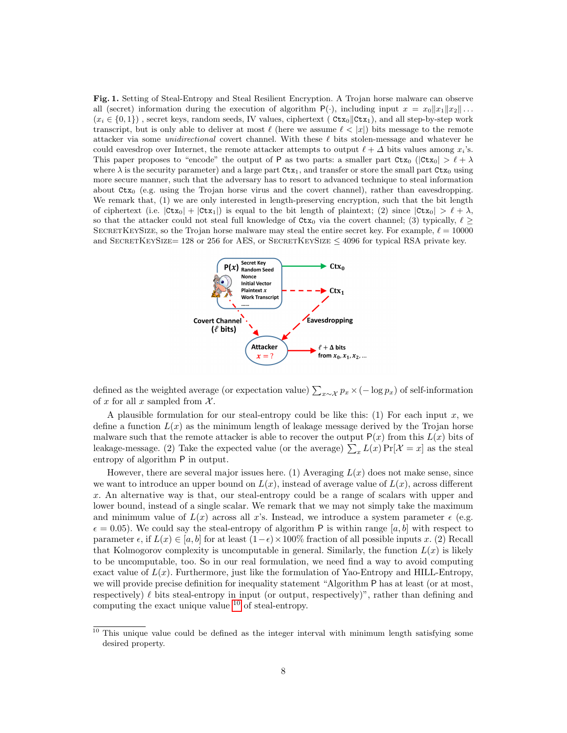<span id="page-7-0"></span>Fig. 1. Setting of Steal-Entropy and Steal Resilient Encryption. A Trojan horse malware can observe all (secret) information during the execution of algorithm  $P(\cdot)$ , including input  $x = x_0||x_1||x_2||...$  $(x_i \in \{0,1\})$ , secret keys, random seeds, IV values, ciphertext ( $\texttt{Ctx}_0||\texttt{Ctx}_1$ ), and all step-by-step work transcript, but is only able to deliver at most  $\ell$  (here we assume  $\ell < |x|$ ) bits message to the remote attacker via some *unidirectional* covert channel. With these  $\ell$  bits stolen-message and whatever he could eavesdrop over Internet, the remote attacker attempts to output  $\ell + \Delta$  bits values among  $x_i$ 's. This paper proposes to "encode" the output of P as two parts: a smaller part  $Ctx_0$  ( $|Ctx_0| > \ell + \lambda$ ) where  $\lambda$  is the security parameter) and a large part Ctx<sub>1</sub>, and transfer or store the small part Ctx<sub>0</sub> using more secure manner, such that the adversary has to resort to advanced technique to steal information about  $Ctx_0$  (e.g. using the Trojan horse virus and the covert channel), rather than eavesdropping. We remark that, (1) we are only interested in length-preserving encryption, such that the bit length of ciphertext (i.e.  $|Ctx_0| + |Cx_1|$ ) is equal to the bit length of plaintext; (2) since  $|Ctx_0| > \ell + \lambda$ , so that the attacker could not steal full knowledge of  $\text{ctx}_0$  via the covert channel; (3) typically,  $\ell \ge$ SECRETKEYSIZE, so the Trojan horse malware may steal the entire secret key. For example,  $\ell = 10000$ and SECRETKEYSIZE= 128 or 256 for AES, or SECRETKEYSIZE  $\leq$  4096 for typical RSA private key.



defined as the weighted average (or expectation value)  $\sum_{x \sim \mathcal{X}} p_x \times (-\log p_x)$  of self-information of x for all x sampled from  $\mathcal{X}$ .

A plausible formulation for our steal-entropy could be like this:  $(1)$  For each input x, we define a function  $L(x)$  as the minimum length of leakage message derived by the Trojan horse malware such that the remote attacker is able to recover the output  $P(x)$  from this  $L(x)$  bits of leakage-message. (2) Take the expected value (or the average)  $\sum_x L(x) \Pr[\mathcal{X} = x]$  as the steal entropy of algorithm P in output.

However, there are several major issues here. (1) Averaging  $L(x)$  does not make sense, since we want to introduce an upper bound on  $L(x)$ , instead of average value of  $L(x)$ , across different x. An alternative way is that, our steal-entropy could be a range of scalars with upper and lower bound, instead of a single scalar. We remark that we may not simply take the maximum and minimum value of  $L(x)$  across all x's. Instead, we introduce a system parameter  $\epsilon$  (e.g.  $\epsilon = 0.05$ ). We could say the steal-entropy of algorithm P is within range [a, b] with respect to parameter  $\epsilon$ , if  $L(x) \in [a, b]$  for at least  $(1-\epsilon) \times 100\%$  fraction of all possible inputs x. (2) Recall that Kolmogorov complexity is uncomputable in general. Similarly, the function  $L(x)$  is likely to be uncomputable, too. So in our real formulation, we need find a way to avoid computing exact value of  $L(x)$ . Furthermore, just like the formulation of Yao-Entropy and HILL-Entropy, we will provide precise definition for inequality statement "Algorithm P has at least (or at most, respectively)  $\ell$  bits steal-entropy in input (or output, respectively)", rather than defining and computing the exact unique value  $10$  of steal-entropy.

<span id="page-7-1"></span> $10$  This unique value could be defined as the integer interval with minimum length satisfying some desired property.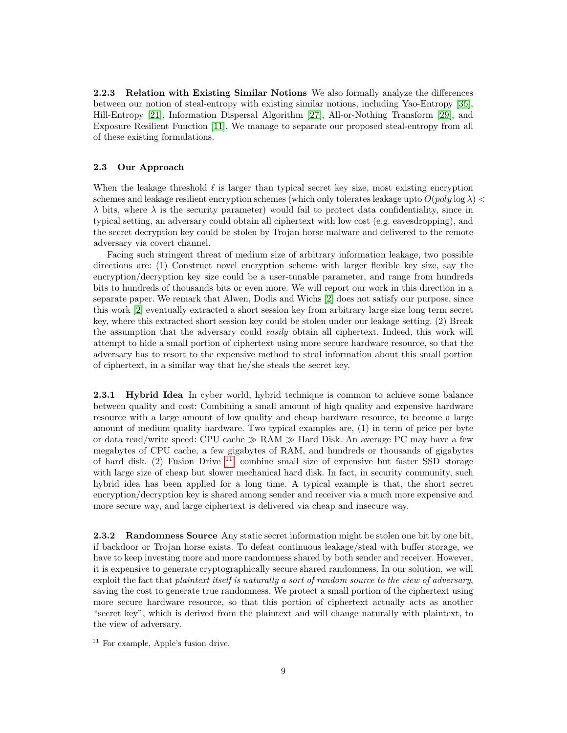2.2.3 Relation with Existing Similar Notions We also formally analyze the differences between our notion of steal-entropy with existing similar notions, including Yao-Entropy [\[35\]](#page-21-4), Hill-Entropy [\[21\]](#page-20-11), Information Dispersal Algorithm [\[27\]](#page-21-5), All-or-Nothing Transform [\[29\]](#page-21-6), and Exposure Resilient Function [\[11\]](#page-20-12). We manage to separate our proposed steal-entropy from all of these existing formulations.

#### <span id="page-8-0"></span>2.3 Our Approach

When the leakage threshold  $\ell$  is larger than typical secret key size, most existing encryption schemes and leakage resilient encryption schemes (which only tolerates leakage upto  $O(poly \log \lambda)$ )  $\lambda$  bits, where  $\lambda$  is the security parameter) would fail to protect data confidentiality, since in typical setting, an adversary could obtain all ciphertext with low cost (e.g. eavesdropping), and the secret decryption key could be stolen by Trojan horse malware and delivered to the remote adversary via covert channel.

Facing such stringent threat of medium size of arbitrary information leakage, two possible directions are: (1) Construct novel encryption scheme with larger flexible key size, say the encryption/decryption key size could be a user-tunable parameter, and range from hundreds bits to hundreds of thousands bits or even more. We will report our work in this direction in a separate paper. We remark that Alwen, Dodis and Wichs [\[2\]](#page-20-1) does not satisfy our purpose, since this work [\[2\]](#page-20-1) eventually extracted a short session key from arbitrary large size long term secret key, where this extracted short session key could be stolen under our leakage setting. (2) Break the assumption that the adversary could easily obtain all ciphertext. Indeed, this work will attempt to hide a small portion of ciphertext using more secure hardware resource, so that the adversary has to resort to the expensive method to steal information about this small portion of ciphertext, in a similar way that he/she steals the secret key.

2.3.1 Hybrid Idea In cyber world, hybrid technique is common to achieve some balance between quality and cost: Combining a small amount of high quality and expensive hardware resource with a large amount of low quality and cheap hardware resource, to become a large amount of medium quality hardware. Two typical examples are, (1) in term of price per byte or data read/write speed: CPU cache  $\gg$  RAM  $\gg$  Hard Disk. An average PC may have a few megabytes of CPU cache, a few gigabytes of RAM, and hundreds or thousands of gigabytes of hard disk. (2) Fusion Drive  $11$ : combine small size of expensive but faster SSD storage with large size of cheap but slower mechanical hard disk. In fact, in security community, such hybrid idea has been applied for a long time. A typical example is that, the short secret encryption/decryption key is shared among sender and receiver via a much more expensive and more secure way, and large ciphertext is delivered via cheap and insecure way.

2.3.2 Randomness Source Any static secret information might be stolen one bit by one bit, if backdoor or Trojan horse exists. To defeat continuous leakage/steal with buffer storage, we have to keep investing more and more randomness shared by both sender and receiver. However, it is expensive to generate cryptographically secure shared randomness. In our solution, we will exploit the fact that plaintext itself is naturally a sort of random source to the view of adversary, saving the cost to generate true randomness. We protect a small portion of the ciphertext using more secure hardware resource, so that this portion of ciphertext actually acts as another "secret key", which is derived from the plaintext and will change naturally with plaintext, to the view of adversary.

<span id="page-8-1"></span><sup>&</sup>lt;sup>11</sup> For example, Apple's fusion drive.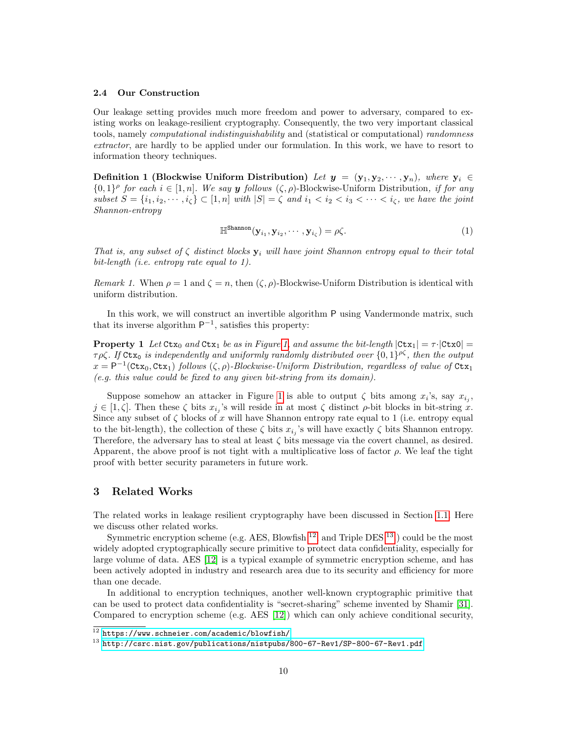#### 2.4 Our Construction

Our leakage setting provides much more freedom and power to adversary, compared to existing works on leakage-resilient cryptography. Consequently, the two very important classical tools, namely computational indistinguishability and (statistical or computational) randomness extractor, are hardly to be applied under our formulation. In this work, we have to resort to information theory techniques.

<span id="page-9-3"></span>Definition 1 (Blockwise Uniform Distribution) Let  $y = (y_1, y_2, \dots, y_n)$ , where  $y_i \in$  $\{0,1\}^{\rho}$  for each  $i \in [1,n]$ . We say **y** follows  $(\zeta,\rho)$ -Blockwise-Uniform Distribution, if for any subset  $S = \{i_1, i_2, \dots, i_{\zeta}\} \subset [1, n]$  with  $|S| = \zeta$  and  $i_1 < i_2 < i_3 < \dots < i_{\zeta}$ , we have the joint Shannon-entropy

<span id="page-9-4"></span>
$$
\mathbb{H}^{\text{Shannon}}(\mathbf{y}_{i_1}, \mathbf{y}_{i_2}, \cdots, \mathbf{y}_{i_\zeta}) = \rho \zeta.
$$
 (1)

That is, any subset of  $\zeta$  distinct blocks  $\mathbf{v}_i$ , will have joint Shannon entropy equal to their total bit-length *(i.e. entropy rate equal to 1).* 

Remark 1. When  $\rho = 1$  and  $\zeta = n$ , then  $(\zeta, \rho)$ -Blockwise-Uniform Distribution is identical with uniform distribution.

In this work, we will construct an invertible algorithm P using Vandermonde matrix, such that its inverse algorithm  $P^{-1}$ , satisfies this property:

**Property 1** Let  $Ctx_0$  and  $Ctx_1$  be as in Figure [1,](#page-7-0) and assume the bit-length  $|Ctx_1| = \tau \cdot |Ctx_0|$  $\tau \rho \zeta$ . If  $\mathtt{Ctx_0}$  is independently and uniformly randomly distributed over  $\{0,1\}^{\rho \zeta}$ , then the output  $x = P^{-1}(\text{Ctx}_0, \text{Ctx}_1)$  follows  $(\zeta, \rho)$ -Blockwise-Uniform Distribution, regardless of value of  $\text{Ctx}_1$ (e.g. this value could be fixed to any given bit-string from its domain).

Suppose somehow an attacker in Figure [1](#page-7-0) is able to output  $\zeta$  bits among  $x_i$ 's, say  $x_{i_j}$ ,  $j \in [1, \zeta]$ . Then these  $\zeta$  bits  $x_{i_j}$ 's will reside in at most  $\zeta$  distinct  $\rho$ -bit blocks in bit-string x. Since any subset of  $\zeta$  blocks of x will have Shannon entropy rate equal to 1 (i.e. entropy equal to the bit-length), the collection of these  $\zeta$  bits  $x_{i_j}$ 's will have exactly  $\zeta$  bits Shannon entropy. Therefore, the adversary has to steal at least  $\zeta$  bits message via the covert channel, as desired. Apparent, the above proof is not tight with a multiplicative loss of factor  $\rho$ . We leaf the tight proof with better security parameters in future work.

# <span id="page-9-0"></span>3 Related Works

The related works in leakage resilient cryptography have been discussed in Section [1.1.](#page-1-1) Here we discuss other related works.

Symmetric encryption scheme (e.g. AES, Blowfish  $^{12}$  $^{12}$  $^{12}$ , and Triple DES  $^{13}$  $^{13}$  $^{13}$ .) could be the most widely adopted cryptographically secure primitive to protect data confidentiality, especially for large volume of data. AES [\[12\]](#page-20-13) is a typical example of symmetric encryption scheme, and has been actively adopted in industry and research area due to its security and efficiency for more than one decade.

In additional to encryption techniques, another well-known cryptographic primitive that can be used to protect data confidentiality is "secret-sharing" scheme invented by Shamir [\[31\]](#page-21-7). Compared to encryption scheme (e.g. AES [\[12\]](#page-20-13)) which can only achieve conditional security,

<span id="page-9-1"></span> $^{12}$ <https://www.schneier.com/academic/blowfish/>

<span id="page-9-2"></span> $^{13}$ <http://csrc.nist.gov/publications/nistpubs/800-67-Rev1/SP-800-67-Rev1.pdf>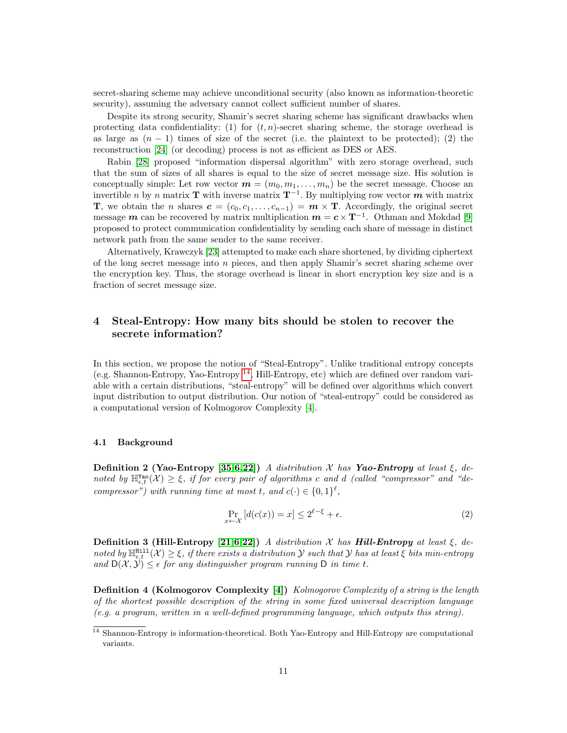secret-sharing scheme may achieve unconditional security (also known as information-theoretic security), assuming the adversary cannot collect sufficient number of shares.

Despite its strong security, Shamir's secret sharing scheme has significant drawbacks when protecting data confidentiality: (1) for  $(t, n)$ -secret sharing scheme, the storage overhead is as large as  $(n-1)$  times of size of the secret (i.e. the plaintext to be protected); (2) the reconstruction [\[24\]](#page-21-8) (or decoding) process is not as efficient as DES or AES.

Rabin [\[28\]](#page-21-9) proposed "information dispersal algorithm" with zero storage overhead, such that the sum of sizes of all shares is equal to the size of secret message size. His solution is conceptually simple: Let row vector  $\mathbf{m} = (m_0, m_1, \ldots, m_n)$  be the secret message. Choose an invertible n by n matrix **T** with inverse matrix  $T^{-1}$ . By multiplying row vector m with matrix **T**, we obtain the *n* shares  $\mathbf{c} = (c_0, c_1, \dots, c_{n-1}) = \mathbf{m} \times \mathbf{T}$ . Accordingly, the original secret message m can be recovered by matrix multiplication  $m = c \times T^{-1}$ . Othman and Mokdad [\[9\]](#page-20-14) proposed to protect communication confidentiality by sending each share of message in distinct network path from the same sender to the same receiver.

Alternatively, Krawczyk [\[23\]](#page-21-10) attempted to make each share shortened, by dividing ciphertext of the long secret message into  $n$  pieces, and then apply Shamir's secret sharing scheme over the encryption key. Thus, the storage overhead is linear in short encryption key size and is a fraction of secret message size.

# <span id="page-10-0"></span>4 Steal-Entropy: How many bits should be stolen to recover the secrete information?

In this section, we propose the notion of "Steal-Entropy". Unlike traditional entropy concepts (e.g. Shannon-Entropy, Yao-Entropy [14](#page-10-1), Hill-Entropy, etc) which are defined over random variable with a certain distributions, "steal-entropy" will be defined over algorithms which convert input distribution to output distribution. Our notion of "steal-entropy" could be considered as a computational version of Kolmogorov Complexity [\[4\]](#page-20-15).

#### 4.1 Background

Definition 2 (Yao-Entropy [\[35](#page-21-4)[,6](#page-20-16)[,22\]](#page-21-11)) A distribution X has Yao-Entropy at least  $\xi$ , denoted by  $\mathbb{H}^{\text{Yao}}_{\epsilon,t}(\mathcal{X}) \geq \xi$ , if for every pair of algorithms c and d (called "compressor" and "decompressor") with running time at most t, and  $c(\cdot) \in \{0,1\}^{\ell}$ ,

$$
\Pr_{x \leftarrow \mathcal{X}} \left[ d(c(x)) = x \right] \le 2^{\ell - \xi} + \epsilon. \tag{2}
$$

**Definition 3 (Hill-Entropy [\[21,](#page-20-11)[6,](#page-20-16)[22\]](#page-21-11))** A distribution  $\mathcal{X}$  has **Hill-Entropy** at least  $\xi$ , denoted by  $\mathbb{H}_{\epsilon,t}^{\text{Hill}}(\mathcal{X}) \geq \xi$ , if there exists a distribution  $\mathcal Y$  such that  $\mathcal Y$  has at least  $\xi$  bits min-entropy and  $D(\mathcal{X}, \mathcal{Y}) \leq \epsilon$  for any distinguisher program running D in time t.

Definition 4 (Kolmogorov Complexity [\[4\]](#page-20-15)) Kolmogorov Complexity of a string is the length of the shortest possible description of the string in some fixed universal description language (e.g. a program, written in a well-defined programming language, which outputs this string).

<span id="page-10-1"></span><sup>&</sup>lt;sup>14</sup> Shannon-Entropy is information-theoretical. Both Yao-Entropy and Hill-Entropy are computational variants.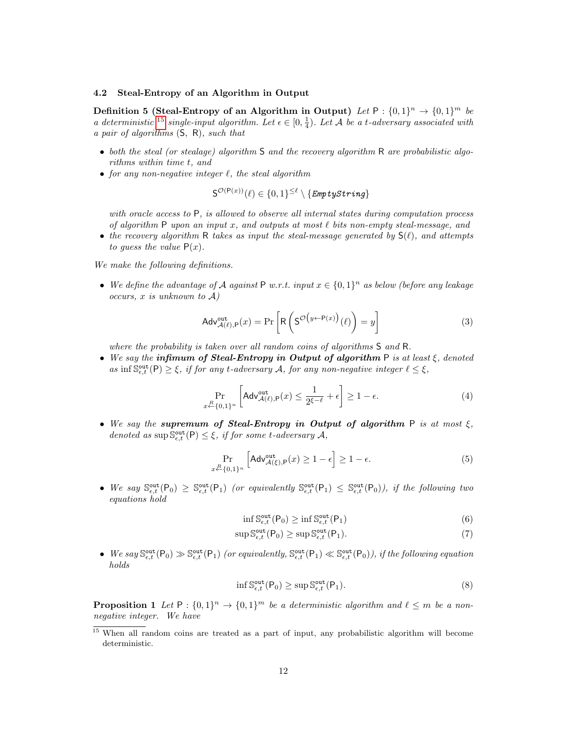#### 4.2 Steal-Entropy of an Algorithm in Output

Definition 5 (Steal-Entropy of an Algorithm in Output) Let  $P: \{0,1\}^n \to \{0,1\}^m$  be a deterministic <sup>[15](#page-11-0)</sup> single-input algorithm. Let  $\epsilon \in [0, \frac{1}{4})$ . Let A be a t-adversary associated with a pair of algorithms (S, R), such that

- both the steal (or stealage) algorithm S and the recovery algorithm R are probabilistic algorithms within time t, and
- for any non-negative integer  $\ell$ , the steal algorithm

 $\mathsf{S}^{\mathcal{O}(\mathsf{P}(x))}(\ell) \in \{0,1\}^{\leq \ell} \setminus \{\mathit{Emptystring}\}$ 

with oracle access to  $P$ , is allowed to observe all internal states during computation process of algorithm  $P$  upon an input x, and outputs at most  $\ell$  bits non-empty steal-message, and

• the recovery algorithm R takes as input the steal-message generated by  $S(\ell)$ , and attempts to quess the value  $P(x)$ .

We make the following definitions.

• We define the advantage of A against P w.r.t. input  $x \in \{0,1\}^n$  as below (before any leakage occurs, x is unknown to  $A$ )

$$
\operatorname{Adv}_{\mathcal{A}(\ell),\mathsf{P}}^{\operatorname{out}}(x) = \Pr\left[\mathsf{R}\left(\mathsf{S}^{\mathcal{O}\left(y\leftarrow \mathsf{P}(x)\right)}(\ell)\right) = y\right] \tag{3}
$$

where the probability is taken over all random coins of algorithms S and R.

• We say the infimum of Steal-Entropy in Output of algorithm P is at least  $\xi$ , denoted as inf  $\mathbb{S}_{\epsilon,t}^{\text{out}}(\mathsf{P}) \geq \xi$ , if for any t-adversary A, for any non-negative integer  $\ell \leq \xi$ ,

$$
\Pr_{x \stackrel{\mathcal{R}}{\leftarrow} \{0,1\}^n} \left[ \mathsf{Adv}_{\mathcal{A}(\ell),\mathsf{P}}^{\mathsf{out}}(x) \le \frac{1}{2^{\xi-\ell}} + \epsilon \right] \ge 1 - \epsilon. \tag{4}
$$

• We say the supremum of Steal-Entropy in Output of algorithm  $P$  is at most  $\xi$ , denoted as  $\sup \mathcal{S}_{\epsilon,t}^{\text{out}}(\mathsf{P}) \leq \xi$ , if for some t-adversary A,

$$
\Pr_{x \stackrel{\mathcal{R}}{\leftarrow} \{0,1\}^n} \left[ \mathsf{Adv}_{\mathcal{A}(\xi),P}^{\mathsf{out}}(x) \ge 1 - \epsilon \right] \ge 1 - \epsilon. \tag{5}
$$

• We say  $\mathbb{S}_{\epsilon,t}^{\text{out}}(\mathsf{P}_0) \geq \mathbb{S}_{\epsilon,t}^{\text{out}}(\mathsf{P}_1)$  (or equivalently  $\mathbb{S}_{\epsilon,t}^{\text{out}}(\mathsf{P}_1) \leq \mathbb{S}_{\epsilon,t}^{\text{out}}(\mathsf{P}_0)$ ), if the following two equations hold

<span id="page-11-1"></span>
$$
\inf \mathbb{S}_{\epsilon,t}^{\text{out}}(\mathsf{P}_0) \ge \inf \mathbb{S}_{\epsilon,t}^{\text{out}}(\mathsf{P}_1)
$$
 (6)

$$
\sup \mathbb{S}_{\epsilon,t}^{\text{out}}(\mathsf{P}_0) \ge \sup \mathbb{S}_{\epsilon,t}^{\text{out}}(\mathsf{P}_1). \tag{7}
$$

• We say  $\mathbb{S}_{\epsilon,t}^{\text{out}}(\mathsf{P}_0) \gg \mathbb{S}_{\epsilon,t}^{\text{out}}(\mathsf{P}_1)$  (or equivalently,  $\mathbb{S}_{\epsilon,t}^{\text{out}}(\mathsf{P}_1) \ll \mathbb{S}_{\epsilon,t}^{\text{out}}(\mathsf{P}_0)$ ), if the following equation holds

$$
\inf \mathbb{S}_{\epsilon,t}^{\text{out}}(\mathsf{P}_0) \ge \sup \mathbb{S}_{\epsilon,t}^{\text{out}}(\mathsf{P}_1). \tag{8}
$$

**Proposition 1** Let  $P: \{0,1\}^n \to \{0,1\}^m$  be a deterministic algorithm and  $\ell \leq m$  be a nonnegative integer. We have

<span id="page-11-0"></span><sup>&</sup>lt;sup>15</sup> When all random coins are treated as a part of input, any probabilistic algorithm will become deterministic.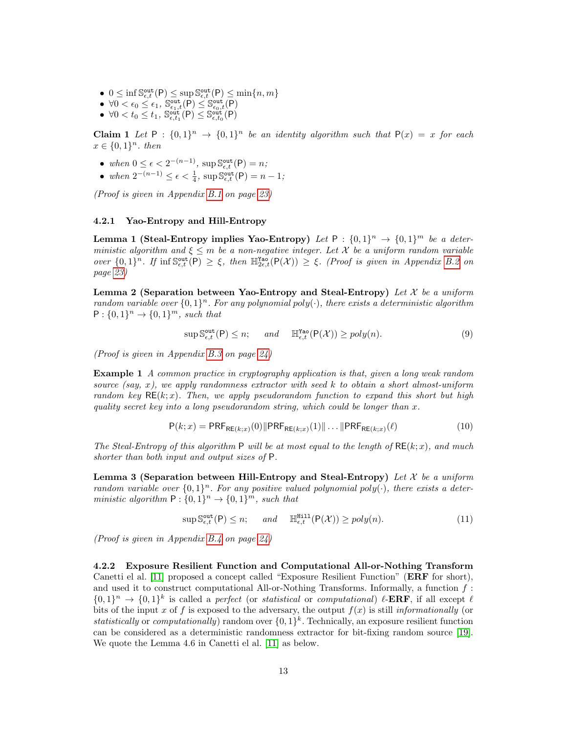- $0 \le \inf \mathcal{S}_{\epsilon,t}^{\text{out}}(\mathsf{P}) \le \sup \mathcal{S}_{\epsilon,t}^{\text{out}}(\mathsf{P}) \le \min\{n,m\}$
- $\forall 0 < \epsilon_0 \leq \epsilon_1$ ,  $\mathbb{S}_{\epsilon_1,t}^{\text{out}}(P) \leq \mathbb{S}_{\epsilon_0,t}^{\text{out}}(P)$
- $\forall 0 < t_0 \leq t_1$ ,  $\mathbb{S}_{\epsilon,t_1}^{\text{out}}(P) \leq \mathbb{S}_{\epsilon,t_0}^{\text{out}}(P)$

<span id="page-12-0"></span>Claim 1 Let  $P: \{0,1\}^n \rightarrow \{0,1\}^n$  be an identity algorithm such that  $P(x) = x$  for each  $x \in \{0,1\}^n$ . then

- when  $0 \leq \epsilon < 2^{-(n-1)}$ , sup  $\mathbb{S}_{\epsilon,t}^{\text{out}}(\mathsf{P}) = n$ ;
- when  $2^{-(n-1)} \le \epsilon < \frac{1}{4}$ ,  $\sup \mathbb{S}_{\epsilon,t}^{\text{out}}(\mathsf{P}) = n 1$ ;

(Proof is given in Appendix [B.1](#page-22-0) on page [23\)](#page-22-0)

#### <span id="page-12-1"></span>4.2.1 Yao-Entropy and Hill-Entropy

Lemma 1 (Steal-Entropy implies Yao-Entropy) Let  $P: \{0,1\}^n \rightarrow \{0,1\}^m$  be a deterministic algorithm and  $\xi \leq m$  be a non-negative integer. Let X be a uniform random variable over  $\{0,1\}^n$ . If  $\inf \mathbb{S}_{\epsilon,t}^{\text{out}}(\mathsf{P}) \geq \xi$ , then  $\mathbb{H}_{2\epsilon,t}^{\text{Yao}}(\mathsf{P}(\mathcal{X})) \geq \xi$ . (Proof is given in Appendix [B.2](#page-22-1) on page [23\)](#page-22-1)

<span id="page-12-2"></span>Lemma 2 (Separation between Yao-Entropy and Steal-Entropy) Let X be a uniform random variable over  $\{0,1\}^n$ . For any polynomial poly( $\cdot$ ), there exists a deterministic algorithm  $P: \{0,1\}^n \to \{0,1\}^m$ , such that

$$
\sup \mathbb{S}_{\epsilon,t}^{\text{out}}(\mathsf{P}) \le n; \quad \text{and} \quad \mathbb{H}_{\epsilon,t}^{\text{Yao}}(\mathsf{P}(\mathcal{X})) \ge poly(n). \tag{9}
$$

(Proof is given in Appendix [B.3](#page-23-0) on page [24\)](#page-23-0)

Example 1 A common practice in cryptography application is that, given a long weak random source  $(say, x)$ , we apply randomness extractor with seed k to obtain a short almost-uniform random key  $RE(k; x)$ . Then, we apply pseudorandom function to expand this short but high quality secret key into a long pseudorandom string, which could be longer than  $x$ .

$$
P(k; x) = PRF_{RE(k; x)}(0) \|PRF_{RE(k; x)}(1)\| ... \|PRF_{RE(k; x)}(\ell)
$$
\n(10)

The Steal-Entropy of this algorithm  $P$  will be at most equal to the length of  $RE(k; x)$ , and much shorter than both input and output sizes of P.

<span id="page-12-3"></span>Lemma 3 (Separation between Hill-Entropy and Steal-Entropy) Let  $\mathcal X$  be a uniform random variable over  $\{0,1\}^n$ . For any positive valued polynomial poly( $\cdot$ ), there exists a deterministic algorithm  $P: \{0,1\}^n \rightarrow \{0,1\}^m$ , such that

$$
\sup \mathbb{S}_{\epsilon,t}^{\text{out}}(\mathsf{P}) \le n; \quad \text{and} \quad \mathbb{H}_{\epsilon,t}^{\text{Hill}}(\mathsf{P}(\mathcal{X})) \ge \text{poly}(n). \tag{11}
$$

(Proof is given in Appendix [B.4](#page-23-1) on page [24\)](#page-23-1)

<span id="page-12-4"></span>4.2.2 Exposure Resilient Function and Computational All-or-Nothing Transform Canetti el al. [\[11\]](#page-20-12) proposed a concept called "Exposure Resilient Function" (ERF for short), and used it to construct computational All-or-Nothing Transforms. Informally, a function  $f$ :  $\{0,1\}^n \to \{0,1\}^k$  is called a perfect (or statistical or computational)  $\ell$ -**ERF**, if all except  $\ell$ bits of the input x of f is exposed to the adversary, the output  $f(x)$  is still informationally (or statistically or computationally) random over  $\{0,1\}^k$ . Technically, an exposure resilient function can be considered as a deterministic randomness extractor for bit-fixing random source [\[19\]](#page-20-17). We quote the Lemma 4.6 in Canetti el al. [\[11\]](#page-20-12) as below.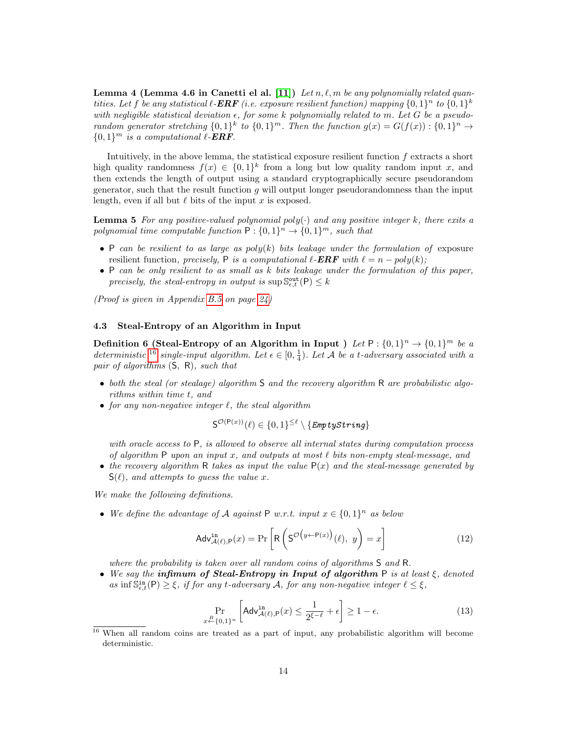Lemma 4 (Lemma 4.6 in Canetti el al. [\[11\]](#page-20-12)) Let  $n, \ell, m$  be any polynomially related quantities. Let f be any statistical  $\ell$ -**ERF** (i.e. exposure resilient function) mapping  $\{0,1\}^n$  to  $\{0,1\}^k$ with negligible statistical deviation  $\epsilon$ , for some k polynomially related to m. Let G be a pseudorandom generator stretching  $\{0,1\}^k$  to  $\{0,1\}^m$ . Then the function  $g(x) = G(f(x)) : \{0,1\}^n \to$  ${0,1}^m$  is a computational  $\ell$ -**ERF**.

Intuitively, in the above lemma, the statistical exposure resilient function  $f$  extracts a short high quality randomness  $f(x) \in \{0,1\}^k$  from a long but low quality random input x, and then extends the length of output using a standard cryptographically secure pseudorandom generator, such that the result function  $q$  will output longer pseudorandomness than the input length, even if all but  $\ell$  bits of the input x is exposed.

<span id="page-13-1"></span>**Lemma 5** For any positive-valued polynomial poly( $\cdot$ ) and any positive integer k, there exits a polynomial time computable function  $P: \{0,1\}^n \to \{0,1\}^m$ , such that

- P can be resilient to as large as  $poly(k)$  bits leakage under the formulation of exposure resilient function, precisely, P is a computational  $\ell$ -**ERF** with  $\ell = n - poly(k)$ ;
- P can be only resilient to as small as k bits leakage under the formulation of this paper, precisely, the steal-entropy in output is  $\sup \mathcal{S}_{\epsilon,t}^{\text{out}}(\mathsf{P}) \leq k$

(Proof is given in Appendix [B.5](#page-23-2) on page [24\)](#page-23-2)

#### 4.3 Steal-Entropy of an Algorithm in Input

Definition 6 (Steal-Entropy of an Algorithm in Input ) Let  $P: \{0,1\}^n \to \{0,1\}^m$  be a deterministic <sup>[16](#page-13-0)</sup> single-input algorithm. Let  $\epsilon \in [0, \frac{1}{4})$ . Let A be a t-adversary associated with a pair of algorithms (S, R), such that

- both the steal (or stealage) algorithm S and the recovery algorithm R are probabilistic algorithms within time t, and
- for any non-negative integer  $\ell$ , the steal algorithm

$$
\mathsf{S}^{\mathcal{O}(\mathsf{P}(x))}(\ell) \in \{0,1\}^{\leq \ell} \setminus \{\mathit{EmptyString}\}
$$

with oracle access to P, is allowed to observe all internal states during computation process of algorithm  $P$  upon an input x, and outputs at most  $\ell$  bits non-empty steal-message, and

• the recovery algorithm R takes as input the value  $P(x)$  and the steal-message generated by  $S(\ell)$ , and attempts to guess the value x.

We make the following definitions.

• We define the advantage of A against P w.r.t. input  $x \in \{0,1\}^n$  as below

$$
Adv_{\mathcal{A}(\ell),P}^{\text{in}}(x) = \Pr\left[\mathsf{R}\left(\mathsf{S}^{\mathcal{O}\left(y \leftarrow \mathsf{P}(x)\right)}(\ell), \ y\right) = x\right] \tag{12}
$$

where the probability is taken over all random coins of algorithms S and R.

• We say the infimum of Steal-Entropy in Input of algorithm  $P$  is at least  $\xi$ , denoted as inf  $\mathbb{S}_{\epsilon,t}^{in}(\mathsf{P}) \geq \xi$ , if for any t-adversary A, for any non-negative integer  $\ell \leq \xi$ ,

$$
\Pr_{x \stackrel{\mathcal{R}}{\leftarrow} \{0,1\}^n} \left[ \mathsf{Adv}_{\mathcal{A}(\ell),\mathsf{P}}^{\text{in}}(x) \le \frac{1}{2^{\xi-\ell}} + \epsilon \right] \ge 1 - \epsilon. \tag{13}
$$

<span id="page-13-0"></span><sup>&</sup>lt;sup>16</sup> When all random coins are treated as a part of input, any probabilistic algorithm will become deterministic.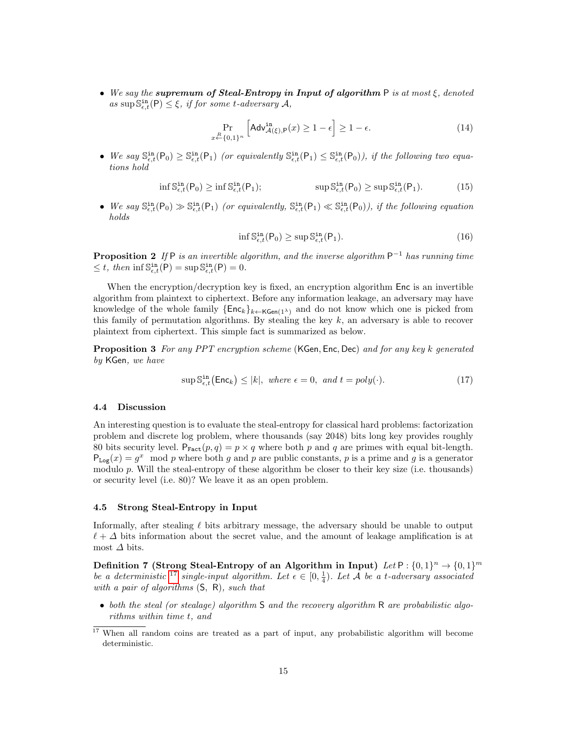• We say the supremum of Steal-Entropy in Input of algorithm  $P$  is at most  $\xi$ , denoted as  $\sup \mathcal{S}_{\epsilon,t}^{\text{in}}(\mathsf{P}) \leq \xi$ , if for some t-adversary  $\mathcal{A}$ ,

$$
\Pr_{\substack{R\\ \leftarrow \{0,1\}^n}} \left[ \mathsf{Adv}_{\mathcal{A}(\xi),\mathsf{P}}^{\text{in}}(x) \ge 1 - \epsilon \right] \ge 1 - \epsilon. \tag{14}
$$

• We say  $\mathbb{S}_{\epsilon,t}^{\text{in}}(\mathsf{P}_0) \geq \mathbb{S}_{\epsilon,t}^{\text{in}}(\mathsf{P}_1)$  (or equivalently  $\mathbb{S}_{\epsilon,t}^{\text{in}}(\mathsf{P}_1) \leq \mathbb{S}_{\epsilon,t}^{\text{in}}(\mathsf{P}_0)$ ), if the following two equations hold

x

$$
\inf \mathbb{S}_{\epsilon,t}^{\text{in}}(\mathsf{P}_0) \ge \inf \mathbb{S}_{\epsilon,t}^{\text{in}}(\mathsf{P}_1); \qquad \qquad \sup \mathbb{S}_{\epsilon,t}^{\text{in}}(\mathsf{P}_0) \ge \sup \mathbb{S}_{\epsilon,t}^{\text{in}}(\mathsf{P}_1). \tag{15}
$$

• We say  $\mathbb{S}_{\epsilon,t}^{\text{in}}(\mathsf{P}_0) \gg \mathbb{S}_{\epsilon,t}^{\text{in}}(\mathsf{P}_1)$  (or equivalently,  $\mathbb{S}_{\epsilon,t}^{\text{in}}(\mathsf{P}_1) \ll \mathbb{S}_{\epsilon,t}^{\text{in}}(\mathsf{P}_0)$ ), if the following equation holds

$$
\inf \mathbb{S}_{\epsilon,t}^{\text{in}}(\mathsf{P}_0) \ge \sup \mathbb{S}_{\epsilon,t}^{\text{in}}(\mathsf{P}_1). \tag{16}
$$

**Proposition 2** If P is an invertible algorithm, and the inverse algorithm  $P^{-1}$  has running time  $\leq t$ , then  $\inf \mathbb{S}_{\epsilon,t}^{\text{in}}(\mathsf{P}) = \sup \mathbb{S}_{\epsilon,t}^{\text{in}}(\mathsf{P}) = 0.$ 

When the encryption/decryption key is fixed, an encryption algorithm Enc is an invertible algorithm from plaintext to ciphertext. Before any information leakage, an adversary may have knowledge of the whole family  $\{Enc_k\}_{k\leftarrow KGen(1^{\lambda})}$  and do not know which one is picked from this family of permutation algorithms. By stealing the key  $k$ , an adversary is able to recover plaintext from ciphertext. This simple fact is summarized as below.

**Proposition 3** For any PPT encryption scheme (KGen, Enc, Dec) and for any key k generated by KGen, we have

$$
\sup \mathbb{S}_{\epsilon,t}^{\text{in}}(\text{Enc}_k) \le |k|, \text{ where } \epsilon = 0, \text{ and } t = poly(\cdot). \tag{17}
$$

#### 4.4 Discussion

An interesting question is to evaluate the steal-entropy for classical hard problems: factorization problem and discrete log problem, where thousands (say 2048) bits long key provides roughly 80 bits security level.  $P_{Fact}(p, q) = p \times q$  where both p and q are primes with equal bit-length.  $P_{Log}(x) = g^x \mod p$  where both g and p are public constants, p is a prime and g is a generator modulo p. Will the steal-entropy of these algorithm be closer to their key size (i.e. thousands) or security level (i.e. 80)? We leave it as an open problem.

#### 4.5 Strong Steal-Entropy in Input

<span id="page-14-1"></span>Informally, after stealing  $\ell$  bits arbitrary message, the adversary should be unable to output  $\ell + \Delta$  bits information about the secret value, and the amount of leakage amplification is at most  $\Delta$  bits.

Definition 7 (Strong Steal-Entropy of an Algorithm in Input)  $Let P: \{0,1\}^n \rightarrow \{0,1\}^m$ be a deterministic <sup>[17](#page-14-0)</sup> single-input algorithm. Let  $\epsilon \in [0, \frac{1}{4})$ . Let A be a t-adversary associated with a pair of algorithms  $(S, R)$ , such that

• both the steal (or stealage) algorithm S and the recovery algorithm R are probabilistic algorithms within time t, and

<span id="page-14-0"></span><sup>&</sup>lt;sup>17</sup> When all random coins are treated as a part of input, any probabilistic algorithm will become deterministic.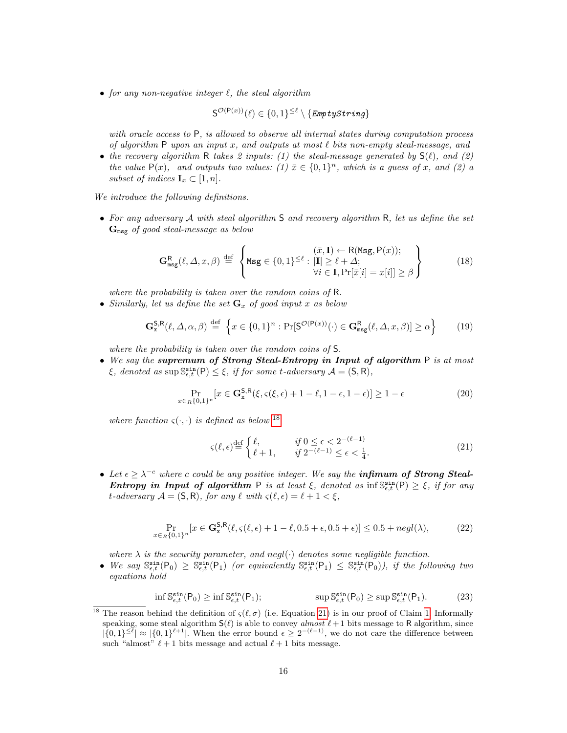• for any non-negative integer  $\ell$ , the steal algorithm

$$
\mathsf{S}^{\mathcal{O}(\mathsf{P}(x))}(\ell) \in \{0,1\}^{\leq \ell} \setminus \{\mathit{EmptyString}\}
$$

with oracle access to P, is allowed to observe all internal states during computation process of algorithm  $P$  upon an input x, and outputs at most  $\ell$  bits non-empty steal-message, and

• the recovery algorithm R takes 2 inputs: (1) the steal-message generated by  $S(\ell)$ , and (2) the value  $P(x)$ , and outputs two values: (1)  $\bar{x} \in \{0,1\}^n$ , which is a guess of x, and (2) a subset of indices  $\mathbf{I}_x \subset [1, n]$ .

We introduce the following definitions.

• For any adversary  $A$  with steal algorithm  $S$  and recovery algorithm  $R$ , let us define the set  $\mathbf{G}_{\texttt{msg}}$  of good steal-message as below

$$
\mathbf{G}_{\text{msg}}^{\text{R}}(\ell,\Delta,x,\beta) \stackrel{\text{def}}{=} \begin{cases} (\bar{x},\mathbf{I}) \leftarrow \text{R}(\text{Msg},\text{P}(x)); \\ \text{Msg} \in \{0,1\}^{\leq \ell} : |\mathbf{I}| \geq \ell + \Delta; \\ \forall i \in \mathbf{I}, \Pr[\bar{x}[i] = x[i]] \geq \beta \end{cases}
$$
(18)

where the probability is taken over the random coins of R.

• Similarly, let us define the set  $\mathbf{G}_x$  of good input x as below

$$
\mathbf{G}_{\mathbf{x}}^{\mathsf{S},\mathsf{R}}(\ell,\Delta,\alpha,\beta) \stackrel{\text{def}}{=} \left\{ x \in \{0,1\}^n : \Pr[\mathsf{S}^{\mathcal{O}(\mathsf{P}(x))}(\cdot) \in \mathbf{G}_{\mathtt{msg}}^{\mathsf{R}}(\ell,\Delta,x,\beta)] \ge \alpha \right\} \tag{19}
$$

where the probability is taken over the random coins of S.

• We say the supremum of Strong Steal-Entropy in Input of algorithm  $P$  is at most  $\xi$ , denoted as sup  $\mathbb{S}_{\epsilon,t}^{\sin}(\mathsf{P}) \leq \xi$ , if for some t-adversary  $\mathcal{A} = (\mathsf{S}, \mathsf{R})$ ,

$$
\Pr_{x \in_R \{0,1\}^n} [x \in \mathbf{G}_x^{\mathbf{S},\mathbf{R}}(\xi, \varsigma(\xi, \epsilon) + 1 - \ell, 1 - \epsilon, 1 - \epsilon)] \ge 1 - \epsilon
$$
\n(20)

where function  $\varsigma(\cdot,\cdot)$  is defined as below <sup>[18](#page-15-0)</sup>

<span id="page-15-3"></span><span id="page-15-2"></span><span id="page-15-1"></span>
$$
\varsigma(\ell,\epsilon) \stackrel{\text{def}}{=} \begin{cases} \ell, & \text{if } 0 \le \epsilon < 2^{-(\ell-1)} \\ \ell+1, & \text{if } 2^{-(\ell-1)} \le \epsilon < \frac{1}{4}. \end{cases} \tag{21}
$$

• Let  $\epsilon \geq \lambda^{-c}$  where c could be any positive integer. We say the **infimum of Strong Steal-Entropy in Input of algorithm** P is at least  $\xi$ , denoted as  $\inf \mathbb{S}_{\epsilon,t}^{\sin}(\mathsf{P}) \geq \xi$ , if for any t-adversary  $\mathcal{A} = (\mathsf{S}, \mathsf{R})$ , for any  $\ell$  with  $\varsigma(\ell, \epsilon) = \ell + 1 < \xi$ ,

$$
\Pr_{x \in_R \{0,1\}^n} [x \in \mathbf{G}_x^{\mathsf{S},\mathsf{R}}(\ell,\varsigma(\ell,\epsilon) + 1 - \ell, 0.5 + \epsilon, 0.5 + \epsilon)] \le 0.5 + \operatorname{negl}(\lambda),\tag{22}
$$

where  $\lambda$  is the security parameter, and negl( $\cdot$ ) denotes some negligible function.

• We say  $\mathbb{S}_{\epsilon,t}^{\sin}(\mathsf{P}_0) \geq \mathbb{S}_{\epsilon,t}^{\sin}(\mathsf{P}_1)$  (or equivalently  $\mathbb{S}_{\epsilon,t}^{\sin}(\mathsf{P}_1) \leq \mathbb{S}_{\epsilon,t}^{\sin}(\mathsf{P}_0)$ ), if the following two equations hold

$$
\inf \mathbb{S}_{\epsilon,t}^{\sin}(\mathsf{P}_0) \ge \inf \mathbb{S}_{\epsilon,t}^{\sin}(\mathsf{P}_1); \qquad \qquad \sup \mathbb{S}_{\epsilon,t}^{\sin}(\mathsf{P}_0) \ge \sup \mathbb{S}_{\epsilon,t}^{\sin}(\mathsf{P}_1). \tag{23}
$$

<span id="page-15-0"></span><sup>&</sup>lt;sup>18</sup> The reason behind the definition of  $\zeta(\ell, \sigma)$  (i.e. Equation [21\)](#page-15-1) is in our proof of Claim [1.](#page-12-0) Informally speaking, some steal algorithm  $S(\ell)$  is able to convey almost  $\ell + 1$  bits message to R algorithm, since  $|\{0,1\}^{\leq \ell}| \approx |\{0,1\}^{\ell+1}|$ . When the error bound  $\epsilon \geq 2^{-(\ell-1)}$ , we do not care the difference between such "almost"  $\ell + 1$  bits message and actual  $\ell + 1$  bits message.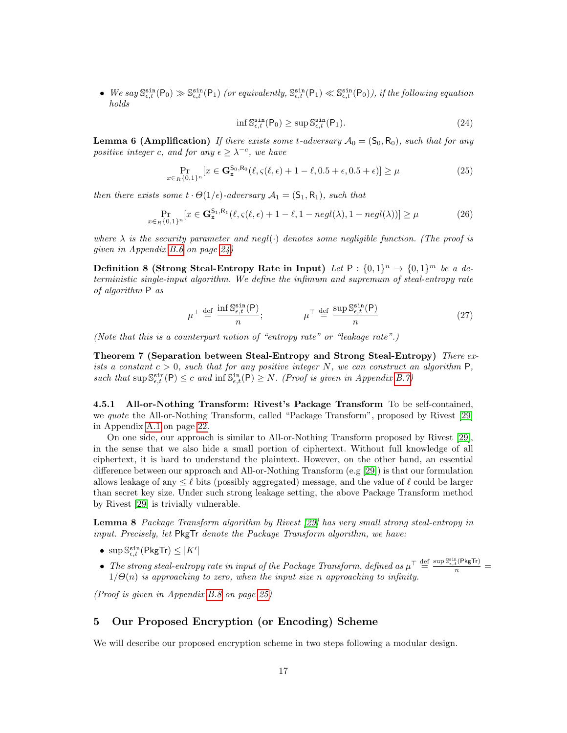• We say  $\mathbb{S}_{\epsilon,t}^{\sin}(\mathsf{P}_0) \gg \mathbb{S}_{\epsilon,t}^{\sin}(\mathsf{P}_1)$  (or equivalently,  $\mathbb{S}_{\epsilon,t}^{\sin}(\mathsf{P}_1) \ll \mathbb{S}_{\epsilon,t}^{\sin}(\mathsf{P}_0)$ ), if the following equation holds

$$
\inf \mathbb{S}_{\epsilon,t}^{\sin}(\mathsf{P}_0) \ge \sup \mathbb{S}_{\epsilon,t}^{\sin}(\mathsf{P}_1). \tag{24}
$$

<span id="page-16-1"></span>**Lemma 6 (Amplification)** If there exists some t-adversary  $A_0 = (S_0, R_0)$ , such that for any positive integer c, and for any  $\epsilon \geq \lambda^{-c}$ , we have

$$
\Pr_{x \in_R \{0,1\}^n} [x \in \mathbf{G}_x^{\mathsf{S}_0, \mathsf{R}_0}(\ell, \varsigma(\ell, \epsilon) + 1 - \ell, 0.5 + \epsilon, 0.5 + \epsilon)] \ge \mu
$$
\n(25)

then there exists some  $t \cdot \Theta(1/\epsilon)$ -adversary  $\mathcal{A}_1 = (S_1, R_1)$ , such that

$$
\Pr_{x \in R\{0,1\}^n} [x \in \mathbf{G}_x^{\mathsf{S}_1,\mathsf{R}_1}(\ell,\varsigma(\ell,\epsilon) + 1 - \ell, 1 - negl(\lambda), 1 - negl(\lambda))] \ge \mu
$$
\n(26)

where  $\lambda$  is the security parameter and negl( $\cdot$ ) denotes some negligible function. (The proof is given in Appendix [B.6](#page-23-3) on page [24\)](#page-23-3)

Definition 8 (Strong Steal-Entropy Rate in Input) Let  $P: \{0,1\}^n \rightarrow \{0,1\}^m$  be a deterministic single-input algorithm. We define the infimum and supremum of steal-entropy rate of algorithm P as

$$
\mu^{\perp} \stackrel{\text{def}}{=} \frac{\inf \mathbb{S}_{\epsilon,t}^{\sin}(\mathsf{P})}{n}; \qquad \mu^{\top} \stackrel{\text{def}}{=} \frac{\sup \mathbb{S}_{\epsilon,t}^{\sin}(\mathsf{P})}{n} \tag{27}
$$

(Note that this is a counterpart notion of "entropy rate" or "leakage rate".)

<span id="page-16-2"></span>Theorem 7 (Separation between Steal-Entropy and Strong Steal-Entropy) There exists a constant  $c > 0$ , such that for any positive integer N, we can construct an algorithm P, such that  $\sup_{\epsilon,t} \mathbb{S}_{\epsilon,t}^{\sin}(\mathsf{P}) \leq c$  and  $\inf_{\epsilon,t} \mathbb{S}_{\epsilon,t}^{\sin}(\mathsf{P}) \geq N$ . (Proof is given in Appendix [B.7\)](#page-24-0)

4.5.1 All-or-Nothing Transform: Rivest's Package Transform To be self-contained, we quote the All-or-Nothing Transform, called "Package Transform", proposed by Rivest [\[29\]](#page-21-6) in Appendix [A.1](#page-21-12) on page [22.](#page-21-12)

On one side, our approach is similar to All-or-Nothing Transform proposed by Rivest [\[29\]](#page-21-6), in the sense that we also hide a small portion of ciphertext. Without full knowledge of all ciphertext, it is hard to understand the plaintext. However, on the other hand, an essential difference between our approach and All-or-Nothing Transform (e.g [\[29\]](#page-21-6)) is that our formulation allows leakage of any  $\leq \ell$  bits (possibly aggregated) message, and the value of  $\ell$  could be larger than secret key size. Under such strong leakage setting, the above Package Transform method by Rivest [\[29\]](#page-21-6) is trivially vulnerable.

<span id="page-16-3"></span>Lemma 8 Package Transform algorithm by Rivest [\[29\]](#page-21-6) has very small strong steal-entropy in input. Precisely, let PkgTr denote the Package Transform algorithm, we have:

- $\sup \mathbb{S}_{\epsilon,t}^{\sin}(\mathsf{PkgTr}) \leq |K'|$
- The strong steal-entropy rate in input of the Package Transform, defined as  $\mu^{\top} \stackrel{\text{def}}{=} \frac{\sup_{s \in i,t} (\text{PkgTr})}{n}$  $1/\Theta(n)$  is approaching to zero, when the input size n approaching to infinity.

(Proof is given in Appendix [B.8](#page-24-1) on page [25\)](#page-24-1)

# <span id="page-16-0"></span>5 Our Proposed Encryption (or Encoding) Scheme

We will describe our proposed encryption scheme in two steps following a modular design.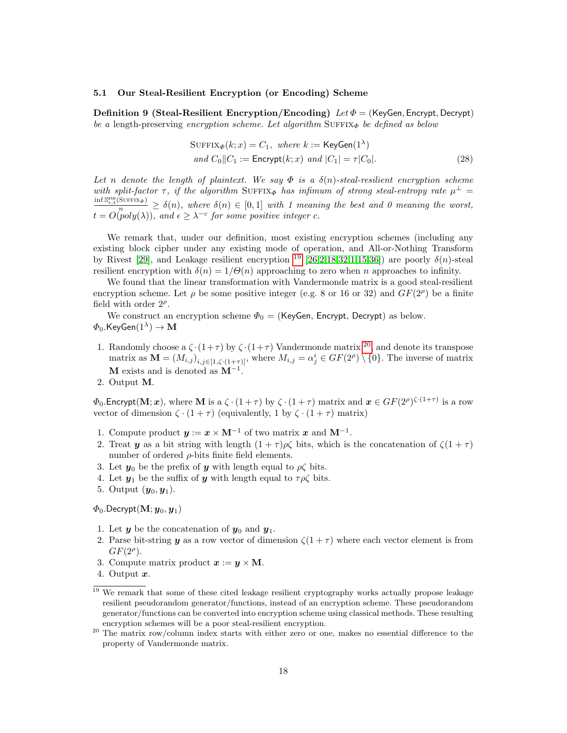#### 5.1 Our Steal-Resilient Encryption (or Encoding) Scheme

<span id="page-17-2"></span>Definition 9 (Steal-Resilient Encryption/Encoding)  $Let \Phi =$  (KeyGen, Encrypt, Decrypt) be a length-preserving encryption scheme. Let algorithm  $\text{SUFFIX}_{\Phi}$  be defined as below

$$
SUFFIX_{\Phi}(k; x) = C_1, \text{ where } k := \text{KeyGen}(1^{\lambda})
$$
  
and  $C_0 || C_1 := \text{Encrypt}(k; x) \text{ and } | C_1 | = \tau | C_0 |.$  (28)

Let n denote the length of plaintext. We say  $\Phi$  is a  $\delta(n)$ -steal-resilient encryption scheme with split-factor  $\tau$ , if the algorithm SUFFIX<sub> $\Phi$ </sub> has infimum of strong steal-entropy rate  $\mu^{\perp}$  =  $\frac{\inf S_{\epsilon,t}^{\sin t}(\text{SUFFIX-}\epsilon)}{n} \geq \delta(n)$ , where  $\delta(n) \in [0,1]$  with 1 meaning the best and 0 meaning the worst,  $t = O(\overset{\circ}{p} o l y(\lambda)), \text{ and } \epsilon \geq \lambda^{-c} \text{ for some positive integer } c.$ 

We remark that, under our definition, most existing encryption schemes (including any existing block cipher under any existing mode of operation, and All-or-Nothing Transform by Rivest [\[29\]](#page-21-6), and Leakage resilient encryption <sup>[19](#page-17-0)</sup> [\[26,](#page-21-1)[2](#page-20-1)[,18,](#page-20-18)[32,](#page-21-13)[1](#page-20-19)[,15](#page-20-20)[,36\]](#page-21-14)) are poorly  $\delta(n)$ -steal resilient encryption with  $\delta(n) = 1/\Theta(n)$  approaching to zero when n approaches to infinity.

We found that the linear transformation with Vandermonde matrix is a good steal-resilient encryption scheme. Let  $\rho$  be some positive integer (e.g. 8 or 16 or 32) and  $GF(2^{\rho})$  be a finite field with order  $2^{\rho}$ .

We construct an encryption scheme  $\Phi_0 =$  (KeyGen, Encrypt, Decrypt) as below.  $\varPhi_0$ .KeyGen $(1^\lambda)\to{\mathbf M}$ 

- 1. Randomly choose a  $\zeta \cdot (1+\tau)$  by  $\zeta \cdot (1+\tau)$  Vandermonde matrix <sup>[20](#page-17-1)</sup>, and denote its transpose matrix as  $\mathbf{M} = (M_{i,j})_{i,j \in [1,\zeta\cdot(1+\tau)]}$ , where  $M_{i,j} = \alpha_j^i \in GF(2^{\rho}) \setminus \{0\}$ . The inverse of matrix M exists and is denoted as  $M^{-1}$ .
- 2. Output M.

 $\Phi_0$ . Encrypt $(\mathbf{M};\boldsymbol{x})$ , where  $\mathbf{M}$  is a  $\zeta\cdot(1+\tau)$  by  $\zeta\cdot(1+\tau)$  matrix and  $\boldsymbol{x}\in GF(2^\rho)^{\zeta\cdot(1+\tau)}$  is a row vector of dimension  $\zeta \cdot (1+\tau)$  (equivalently, 1 by  $\zeta \cdot (1+\tau)$  matrix)

- 1. Compute product  $y := x \times M^{-1}$  of two matrix x and  $M^{-1}$ .
- 2. Treat  $\bf{v}$  as a bit string with length  $(1 + \tau)\rho\zeta$  bits, which is the concatenation of  $\zeta(1 + \tau)$ number of ordered  $\rho$ -bits finite field elements.
- 3. Let  $y_0$  be the prefix of y with length equal to  $\rho \zeta$  bits.
- 4. Let  $y_1$  be the suffix of y with length equal to  $\tau \rho \zeta$  bits.
- 5. Output  $(\mathbf{y}_0, \mathbf{y}_1)$ .

 $\Phi_0$ .Decrypt $(\mathbf{M};\boldsymbol{y}_0,\boldsymbol{y}_1)$ 

- 1. Let  $y$  be the concatenation of  $y_0$  and  $y_1$ .
- 2. Parse bit-string y as a row vector of dimension  $\zeta(1+\tau)$  where each vector element is from  $GF(2^{\rho}).$
- 3. Compute matrix product  $x := y \times M$ .
- 4. Output x.

<span id="page-17-0"></span><sup>&</sup>lt;sup>19</sup> We remark that some of these cited leakage resilient cryptography works actually propose leakage resilient pseudorandom generator/functions, instead of an encryption scheme. These pseudorandom generator/functions can be converted into encryption scheme using classical methods. These resulting encryption schemes will be a poor steal-resilient encryption.

<span id="page-17-1"></span><sup>&</sup>lt;sup>20</sup> The matrix row/column index starts with either zero or one, makes no essential difference to the property of Vandermonde matrix.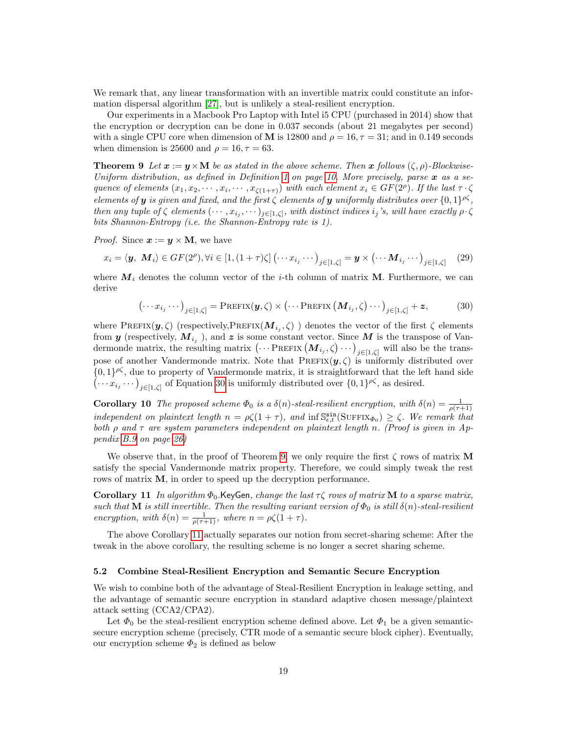We remark that, any linear transformation with an invertible matrix could constitute an information dispersal algorithm [\[27\]](#page-21-5), but is unlikely a steal-resilient encryption.

Our experiments in a Macbook Pro Laptop with Intel i5 CPU (purchased in 2014) show that the encryption or decryption can be done in 0.037 seconds (about 21 megabytes per second) with a single CPU core when dimension of M is 12800 and  $\rho = 16, \tau = 31$ ; and in 0.149 seconds when dimension is 25600 and  $\rho = 16, \tau = 63$ .

<span id="page-18-1"></span>**Theorem 9** Let  $x := y \times M$  be as stated in the above scheme. Then x follows  $(\zeta, \rho)$ -Blockwise-Uniform distribution, as defined in Definition [1](#page-9-3) on page [10.](#page-9-3) More precisely, parse  $x$  as a sequence of elements  $(x_1, x_2, \dots, x_i, \dots, x_{\zeta(1+\tau)})$  with each element  $x_i \in GF(2^{\rho})$ . If the last  $\tau \cdot \zeta$ elements of y is given and fixed, and the first  $\zeta$  elements of y uniformly distributes over  $\{0,1\}^{\rho\zeta}$ , then any tuple of  $\zeta$  elements  $(\cdots, x_{i_j}, \cdots)_{j \in [1,\zeta]},$  with distinct indices  $i_j$ 's, will have exactly  $\rho \cdot \zeta$ bits Shannon-Entropy (i.e. the Shannon-Entropy rate is 1).

*Proof.* Since  $x := y \times M$ , we have

$$
x_i = \langle \mathbf{y}, \ \mathbf{M}_i \rangle \in GF(2^{\rho}), \forall i \in [1, (1+\tau)\zeta] \left( \cdots x_{i_j} \cdots \right)_{j \in [1,\zeta]} = \mathbf{y} \times \left( \cdots \mathbf{M}_{i_j} \cdots \right)_{j \in [1,\zeta]} \tag{29}
$$

where  $M_i$  denotes the column vector of the *i*-th column of matrix M. Furthermore, we can derive

<span id="page-18-0"></span>
$$
\left(\cdots x_{i_j}\cdots\right)_{j\in[1,\zeta]} = \text{PREFIX}(\boldsymbol{y},\zeta) \times \left(\cdots \text{PREFIX}\left(\boldsymbol{M}_{i_j},\zeta\right)\cdots\right)_{j\in[1,\zeta]} + \boldsymbol{z},\tag{30}
$$

where  $\text{PREFIX}(\bm{y},\zeta)$  (respectively,  $\text{PREFIX}(\bm{M}_{i_j},\zeta)$  ) denotes the vector of the first  $\zeta$  elements from  $y$  (respectively,  $M_{i_j}$  ), and  $z$  is some constant vector. Since  $M$  is the transpose of Vandermonde matrix, the resulting matrix  $(\cdots$  PREFIX  $(M_{i_j}, \zeta) \cdots)_{j \in [1,\zeta]}$  will also be the transpose of another Vandermonde matrix. Note that  $PREFIX(\boldsymbol{y},\zeta)$  is uniformly distributed over  $\{0,1\}^{\rho\zeta}$ , due to property of Vandermonde matrix, it is straightforward that the left hand side  $(\cdots x_{i_j} \cdots)_{j \in [1,\zeta]}$  of Equation [30](#page-18-0) is uniformly distributed over  $\{0,1\}^{\rho \zeta}$ , as desired.

<span id="page-18-3"></span>**Corollary 10** The proposed scheme  $\Phi_0$  is a  $\delta(n)$ -steal-resilient encryption, with  $\delta(n) = \frac{1}{\rho(\tau+1)}$ independent on plaintext length  $n = \rho \zeta(1 + \tau)$ , and inf  $\mathbb{S}_{\epsilon,t}^{\sin}(\text{SUFFIX}_{\Phi_0}) \geq \zeta$ . We remark that both  $\rho$  and  $\tau$  are system parameters independent on plaintext length n. (Proof is given in Appendix [B.9](#page-25-0) on page [26\)](#page-25-0)

We observe that, in the proof of Theorem [9,](#page-18-1) we only require the first  $\zeta$  rows of matrix M satisfy the special Vandermonde matrix property. Therefore, we could simply tweak the rest rows of matrix **M**, in order to speed up the decryption performance.

<span id="page-18-2"></span>**Corollary 11** In algorithm  $\Phi_0$ . Key Gen, change the last  $\tau \zeta$  rows of matrix M to a sparse matrix, such that **M** is still invertible. Then the resulting variant version of  $\Phi_0$  is still  $\delta(n)$ -steal-resilient encryption, with  $\delta(n) = \frac{1}{\rho(\tau+1)}$ , where  $n = \rho \zeta(1+\tau)$ .

The above Corollary [11](#page-18-2) actually separates our notion from secret-sharing scheme: After the tweak in the above corollary, the resulting scheme is no longer a secret sharing scheme.

#### 5.2 Combine Steal-Resilient Encryption and Semantic Secure Encryption

We wish to combine both of the advantage of Steal-Resilient Encryption in leakage setting, and the advantage of semantic secure encryption in standard adaptive chosen message/plaintext attack setting (CCA2/CPA2).

Let  $\Phi_0$  be the steal-resilient encryption scheme defined above. Let  $\Phi_1$  be a given semanticsecure encryption scheme (precisely, CTR mode of a semantic secure block cipher). Eventually, our encryption scheme  $\Phi_2$  is defined as below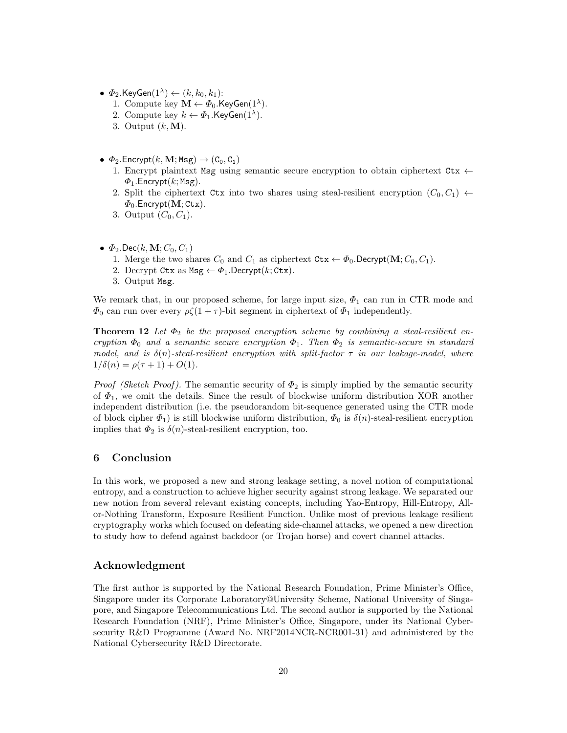- $\Phi_2$ .KeyGen $(1^{\lambda}) \leftarrow (k, k_0, k_1)$ :
	- 1. Compute key  $\mathbf{M} \leftarrow \Phi_0$ . Key Gen $(1^{\lambda})$ .
	- 2. Compute key  $k \leftarrow \Phi_1$ .KeyGen $(1^{\lambda})$ .
	- 3. Output  $(k, M)$ .
- $\Phi_2$ . Encrypt $(k, \mathbf{M}; \text{Msg}) \rightarrow (\text{C}_0, \text{C}_1)$ 
	- 1. Encrypt plaintext Msg using semantic secure encryption to obtain ciphertext Ctx  $\leftarrow$  $\Phi_1$ . Encrypt $(k; \texttt{Msg})$ .
	- 2. Split the ciphertext Ctx into two shares using steal-resilient encryption  $(C_0, C_1)$   $\leftarrow$  $\Phi_0$ . Encrypt $(M; Ctx)$ .
	- 3. Output  $(C_0, C_1)$ .
- $\Phi_2$ .Dec(k, M;  $C_0$ ,  $C_1$ )
	- 1. Merge the two shares  $C_0$  and  $C_1$  as ciphertext  $\mathtt{Ctx} \leftarrow \Phi_0$ . Decrypt $(M; C_0, C_1)$ .
	- 2. Decrypt Ctx as Msg  $\leftarrow \Phi_1$ .Decrypt $(k;\texttt{Ctx})$ .
	- 3. Output Msg.

We remark that, in our proposed scheme, for large input size,  $\Phi_1$  can run in CTR mode and  $\Phi_0$  can run over every  $\rho \zeta(1+\tau)$ -bit segment in ciphertext of  $\Phi_1$  independently.

**Theorem 12** Let  $\Phi_2$  be the proposed encryption scheme by combining a steal-resilient encryption  $\Phi_0$  and a semantic secure encryption  $\Phi_1$ . Then  $\Phi_2$  is semantic-secure in standard model, and is  $\delta(n)$ -steal-resilient encryption with split-factor  $\tau$  in our leakage-model, where  $1/\delta(n) = \rho(\tau + 1) + O(1).$ 

*Proof (Sketch Proof)*. The semantic security of  $\Phi_2$  is simply implied by the semantic security of  $\Phi_1$ , we omit the details. Since the result of blockwise uniform distribution XOR another independent distribution (i.e. the pseudorandom bit-sequence generated using the CTR mode of block cipher  $\Phi_1$ ) is still blockwise uniform distribution,  $\Phi_0$  is  $\delta(n)$ -steal-resilient encryption implies that  $\Phi_2$  is  $\delta(n)$ -steal-resilient encryption, too.

# <span id="page-19-0"></span>6 Conclusion

In this work, we proposed a new and strong leakage setting, a novel notion of computational entropy, and a construction to achieve higher security against strong leakage. We separated our new notion from several relevant existing concepts, including Yao-Entropy, Hill-Entropy, Allor-Nothing Transform, Exposure Resilient Function. Unlike most of previous leakage resilient cryptography works which focused on defeating side-channel attacks, we opened a new direction to study how to defend against backdoor (or Trojan horse) and covert channel attacks.

# Acknowledgment

The first author is supported by the National Research Foundation, Prime Minister's Office, Singapore under its Corporate Laboratory@University Scheme, National University of Singapore, and Singapore Telecommunications Ltd. The second author is supported by the National Research Foundation (NRF), Prime Minister's Office, Singapore, under its National Cybersecurity R&D Programme (Award No. NRF2014NCR-NCR001-31) and administered by the National Cybersecurity R&D Directorate.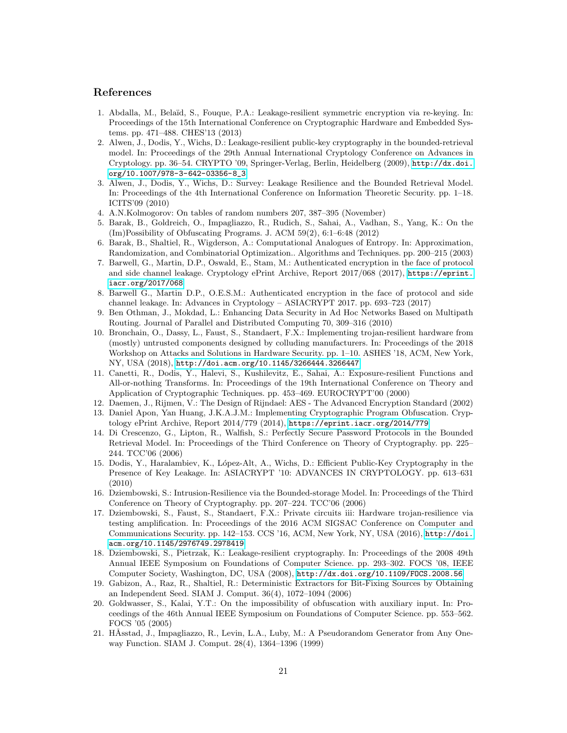# References

- <span id="page-20-19"></span>1. Abdalla, M., Bela¨ıd, S., Fouque, P.A.: Leakage-resilient symmetric encryption via re-keying. In: Proceedings of the 15th International Conference on Cryptographic Hardware and Embedded Systems. pp. 471–488. CHES'13 (2013)
- <span id="page-20-1"></span>2. Alwen, J., Dodis, Y., Wichs, D.: Leakage-resilient public-key cryptography in the bounded-retrieval model. In: Proceedings of the 29th Annual International Cryptology Conference on Advances in Cryptology. pp. 36–54. CRYPTO '09, Springer-Verlag, Berlin, Heidelberg (2009), [http://dx.doi.](http://dx.doi.org/10.1007/978-3-642-03356-8_3) [org/10.1007/978-3-642-03356-8\\_3](http://dx.doi.org/10.1007/978-3-642-03356-8_3)
- <span id="page-20-0"></span>3. Alwen, J., Dodis, Y., Wichs, D.: Survey: Leakage Resilience and the Bounded Retrieval Model. In: Proceedings of the 4th International Conference on Information Theoretic Security. pp. 1–18. ICITS'09 (2010)
- <span id="page-20-15"></span>4. A.N.Kolmogorov: On tables of random numbers 207, 387–395 (November)
- <span id="page-20-8"></span>5. Barak, B., Goldreich, O., Impagliazzo, R., Rudich, S., Sahai, A., Vadhan, S., Yang, K.: On the (Im)Possibility of Obfuscating Programs. J. ACM 59(2), 6:1–6:48 (2012)
- <span id="page-20-16"></span>6. Barak, B., Shaltiel, R., Wigderson, A.: Computational Analogues of Entropy. In: Approximation, Randomization, and Combinatorial Optimization.. Algorithms and Techniques. pp. 200–215 (2003)
- <span id="page-20-5"></span>7. Barwell, G., Martin, D.P., Oswald, E., Stam, M.: Authenticated encryption in the face of protocol and side channel leakage. Cryptology ePrint Archive, Report 2017/068 (2017), [https://eprint.](https://eprint.iacr.org/2017/068) [iacr.org/2017/068](https://eprint.iacr.org/2017/068)
- <span id="page-20-4"></span>8. Barwell G., Martin D.P., O.E.S.M.: Authenticated encryption in the face of protocol and side channel leakage. In: Advances in Cryptology – ASIACRYPT 2017. pp. 693–723 (2017)
- <span id="page-20-14"></span>9. Ben Othman, J., Mokdad, L.: Enhancing Data Security in Ad Hoc Networks Based on Multipath Routing. Journal of Parallel and Distributed Computing 70, 309–316 (2010)
- <span id="page-20-7"></span>10. Bronchain, O., Dassy, L., Faust, S., Standaert, F.X.: Implementing trojan-resilient hardware from (mostly) untrusted components designed by colluding manufacturers. In: Proceedings of the 2018 Workshop on Attacks and Solutions in Hardware Security. pp. 1–10. ASHES '18, ACM, New York, NY, USA (2018), <http://doi.acm.org/10.1145/3266444.3266447>
- <span id="page-20-12"></span>11. Canetti, R., Dodis, Y., Halevi, S., Kushilevitz, E., Sahai, A.: Exposure-resilient Functions and All-or-nothing Transforms. In: Proceedings of the 19th International Conference on Theory and Application of Cryptographic Techniques. pp. 453–469. EUROCRYPT'00 (2000)
- <span id="page-20-13"></span>12. Daemen, J., Rijmen, V.: The Design of Rijndael: AES - The Advanced Encryption Standard (2002)
- <span id="page-20-10"></span>13. Daniel Apon, Yan Huang, J.K.A.J.M.: Implementing Cryptographic Program Obfuscation. Cryptology ePrint Archive, Report 2014/779 (2014), <https://eprint.iacr.org/2014/779>
- <span id="page-20-2"></span>14. Di Crescenzo, G., Lipton, R., Walfish, S.: Perfectly Secure Password Protocols in the Bounded Retrieval Model. In: Proceedings of the Third Conference on Theory of Cryptography. pp. 225– 244. TCC'06 (2006)
- <span id="page-20-20"></span>15. Dodis, Y., Haralambiev, K., López-Alt, A., Wichs, D.: Efficient Public-Key Cryptography in the Presence of Key Leakage. In: ASIACRYPT '10: ADVANCES IN CRYPTOLOGY. pp. 613–631 (2010)
- <span id="page-20-3"></span>16. Dziembowski, S.: Intrusion-Resilience via the Bounded-storage Model. In: Proceedings of the Third Conference on Theory of Cryptography. pp. 207–224. TCC'06 (2006)
- <span id="page-20-6"></span>17. Dziembowski, S., Faust, S., Standaert, F.X.: Private circuits iii: Hardware trojan-resilience via testing amplification. In: Proceedings of the 2016 ACM SIGSAC Conference on Computer and Communications Security. pp. 142–153. CCS '16, ACM, New York, NY, USA (2016), [http://doi.](http://doi.acm.org/10.1145/2976749.2978419) [acm.org/10.1145/2976749.2978419](http://doi.acm.org/10.1145/2976749.2978419)
- <span id="page-20-18"></span>18. Dziembowski, S., Pietrzak, K.: Leakage-resilient cryptography. In: Proceedings of the 2008 49th Annual IEEE Symposium on Foundations of Computer Science. pp. 293–302. FOCS '08, IEEE Computer Society, Washington, DC, USA (2008), <http://dx.doi.org/10.1109/FOCS.2008.56>
- <span id="page-20-17"></span>19. Gabizon, A., Raz, R., Shaltiel, R.: Deterministic Extractors for Bit-Fixing Sources by Obtaining an Independent Seed. SIAM J. Comput. 36(4), 1072–1094 (2006)
- <span id="page-20-9"></span>20. Goldwasser, S., Kalai, Y.T.: On the impossibility of obfuscation with auxiliary input. In: Proceedings of the 46th Annual IEEE Symposium on Foundations of Computer Science. pp. 553–562. FOCS '05 (2005)
- <span id="page-20-11"></span>21. HÅsstad, J., Impagliazzo, R., Levin, L.A., Luby, M.: A Pseudorandom Generator from Any Oneway Function. SIAM J. Comput. 28(4), 1364–1396 (1999)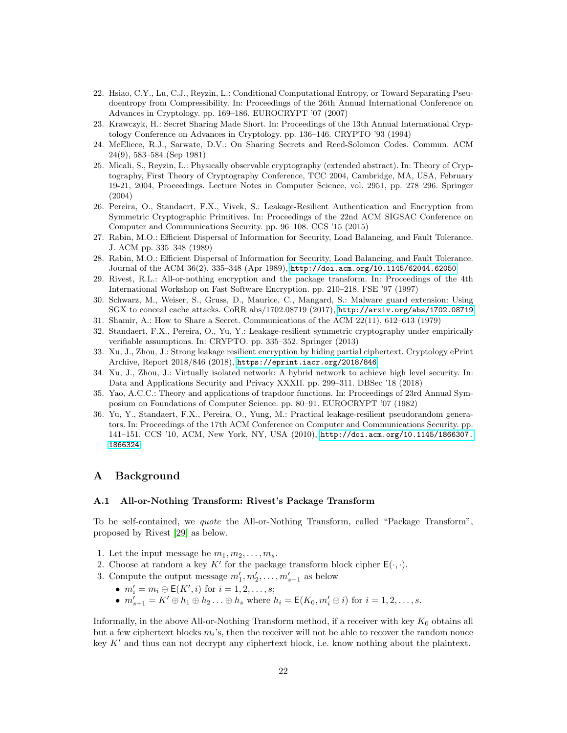- <span id="page-21-11"></span>22. Hsiao, C.Y., Lu, C.J., Reyzin, L.: Conditional Computational Entropy, or Toward Separating Pseudoentropy from Compressibility. In: Proceedings of the 26th Annual International Conference on Advances in Cryptology. pp. 169–186. EUROCRYPT '07 (2007)
- <span id="page-21-10"></span>23. Krawczyk, H.: Secret Sharing Made Short. In: Proceedings of the 13th Annual International Cryptology Conference on Advances in Cryptology. pp. 136–146. CRYPTO '93 (1994)
- <span id="page-21-8"></span>24. McEliece, R.J., Sarwate, D.V.: On Sharing Secrets and Reed-Solomon Codes. Commun. ACM 24(9), 583–584 (Sep 1981)
- <span id="page-21-3"></span>25. Micali, S., Reyzin, L.: Physically observable cryptography (extended abstract). In: Theory of Cryptography, First Theory of Cryptography Conference, TCC 2004, Cambridge, MA, USA, February 19-21, 2004, Proceedings. Lecture Notes in Computer Science, vol. 2951, pp. 278–296. Springer (2004)
- <span id="page-21-1"></span>26. Pereira, O., Standaert, F.X., Vivek, S.: Leakage-Resilient Authentication and Encryption from Symmetric Cryptographic Primitives. In: Proceedings of the 22nd ACM SIGSAC Conference on Computer and Communications Security. pp. 96–108. CCS '15 (2015)
- <span id="page-21-5"></span>27. Rabin, M.O.: Efficient Dispersal of Information for Security, Load Balancing, and Fault Tolerance. J. ACM pp. 335–348 (1989)
- <span id="page-21-9"></span>28. Rabin, M.O.: Efficient Dispersal of Information for Security, Load Balancing, and Fault Tolerance. Journal of the ACM 36(2), 335–348 (Apr 1989), <http://doi.acm.org/10.1145/62044.62050>
- <span id="page-21-6"></span>29. Rivest, R.L.: All-or-nothing encryption and the package transform. In: Proceedings of the 4th International Workshop on Fast Software Encryption. pp. 210–218. FSE '97 (1997)
- <span id="page-21-0"></span>30. Schwarz, M., Weiser, S., Gruss, D., Maurice, C., Mangard, S.: Malware guard extension: Using SGX to conceal cache attacks. CoRR abs/1702.08719 (2017), <http://arxiv.org/abs/1702.08719>
- <span id="page-21-7"></span>31. Shamir, A.: How to Share a Secret. Communications of the ACM 22(11), 612–613 (1979)
- <span id="page-21-13"></span>32. Standaert, F.X., Pereira, O., Yu, Y.: Leakage-resilient symmetric cryptography under empirically verifiable assumptions. In: CRYPTO. pp. 335–352. Springer (2013)
- 33. Xu, J., Zhou, J.: Strong leakage resilient encryption by hiding partial ciphertext. Cryptology ePrint Archive, Report 2018/846 (2018), <https://eprint.iacr.org/2018/846>
- <span id="page-21-2"></span>34. Xu, J., Zhou, J.: Virtually isolated network: A hybrid network to achieve high level security. In: Data and Applications Security and Privacy XXXII. pp. 299–311. DBSec '18 (2018)
- <span id="page-21-4"></span>35. Yao, A.C.C.: Theory and applications of trapdoor functions. In: Proceedings of 23rd Annual Symposium on Foundations of Computer Science. pp. 80–91. EUROCRYPT '07 (1982)
- <span id="page-21-14"></span>36. Yu, Y., Standaert, F.X., Pereira, O., Yung, M.: Practical leakage-resilient pseudorandom generators. In: Proceedings of the 17th ACM Conference on Computer and Communications Security. pp. 141–151. CCS '10, ACM, New York, NY, USA (2010), [http://doi.acm.org/10.1145/1866307.](http://doi.acm.org/10.1145/1866307.1866324) [1866324](http://doi.acm.org/10.1145/1866307.1866324)

## A Background

#### <span id="page-21-12"></span>A.1 All-or-Nothing Transform: Rivest's Package Transform

To be self-contained, we quote the All-or-Nothing Transform, called "Package Transform", proposed by Rivest [\[29\]](#page-21-6) as below.

- 1. Let the input message be  $m_1, m_2, \ldots, m_s$ .
- 2. Choose at random a key K' for the package transform block cipher  $\mathsf{E}(\cdot,\cdot)$ .
- 3. Compute the output message  $m'_1, m'_2, \ldots, m'_{s+1}$  as below
	- $m'_i = m_i \oplus E(K', i)$  for  $i = 1, 2, ..., s;$
	- $m'_{s+1} = K' \oplus h_1 \oplus h_2 \ldots \oplus h_s$  where  $h_i = \mathsf{E}(K_0, m'_i \oplus i)$  for  $i = 1, 2, \ldots, s$ .

Informally, in the above All-or-Nothing Transform method, if a receiver with key  $K_0$  obtains all but a few ciphertext blocks  $m_i$ 's, then the receiver will not be able to recover the random nonce key  $K'$  and thus can not decrypt any ciphertext block, i.e. know nothing about the plaintext.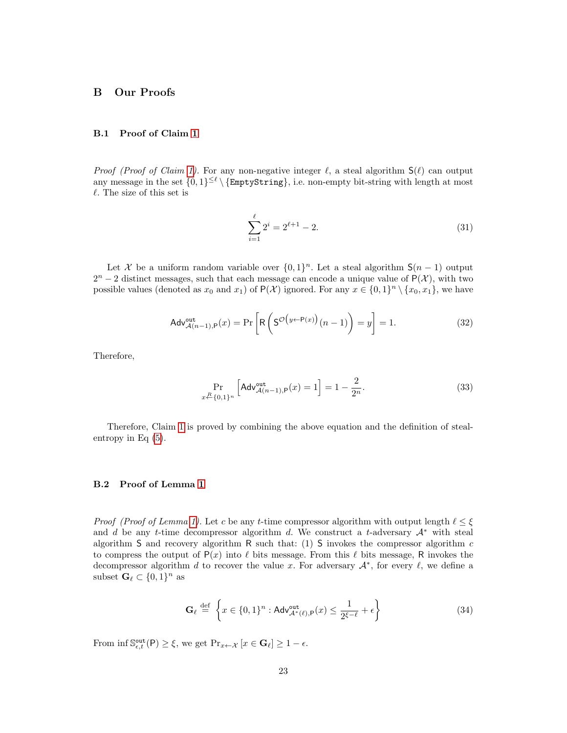# B Our Proofs

#### <span id="page-22-0"></span>B.1 Proof of Claim [1](#page-12-0)

*Proof (Proof of Claim [1\)](#page-12-0).* For any non-negative integer  $\ell$ , a steal algorithm  $S(\ell)$  can output any message in the set  $\{0,1\}^{\leq \ell} \setminus {\text{EmptyString}}$ , i.e. non-empty bit-string with length at most  $\ell$ . The size of this set is

$$
\sum_{i=1}^{\ell} 2^i = 2^{\ell+1} - 2.
$$
 (31)

Let X be a uniform random variable over  $\{0,1\}^n$ . Let a steal algorithm  $S(n-1)$  output  $2^{n} - 2$  distinct messages, such that each message can encode a unique value of  $P(X)$ , with two possible values (denoted as  $x_0$  and  $x_1$ ) of  $P(\mathcal{X})$  ignored. For any  $x \in \{0,1\}^n \setminus \{x_0, x_1\}$ , we have

$$
\mathsf{Adv}_{\mathcal{A}(n-1),\mathsf{P}}^{\mathsf{out}}(x) = \Pr\left[\mathsf{R}\left(\mathsf{S}^{\mathcal{O}\left(y\leftarrow \mathsf{P}(x)\right)}(n-1)\right) = y\right] = 1. \tag{32}
$$

Therefore,

$$
\Pr_{x \stackrel{R}{\leftarrow} \{0,1\}^n} \left[ \text{Adv}_{\mathcal{A}(n-1),P}^{\text{out}}(x) = 1 \right] = 1 - \frac{2}{2^n}.
$$
 (33)

Therefore, Claim [1](#page-12-0) is proved by combining the above equation and the definition of stealentropy in Eq [\(5\)](#page-11-1).

## <span id="page-22-1"></span>B.2 Proof of Lemma [1](#page-12-1)

*Proof (Proof of Lemma [1\)](#page-12-1).* Let c be any t-time compressor algorithm with output length  $\ell \leq \xi$ and d be any t-time decompressor algorithm d. We construct a t-adversary  $A^*$  with steal algorithm S and recovery algorithm R such that: (1) S invokes the compressor algorithm  $c$ to compress the output of  $P(x)$  into  $\ell$  bits message. From this  $\ell$  bits message, R invokes the decompressor algorithm d to recover the value x. For adversary  $\mathcal{A}^*$ , for every  $\ell$ , we define a subset  $\mathbf{G}_{\ell} \subset \{0, 1\}^n$  as

$$
\mathbf{G}_{\ell} \stackrel{\text{def}}{=} \left\{ x \in \{0, 1\}^n : \mathsf{Adv}_{\mathcal{A}^*(\ell), \mathsf{P}}^{\text{out}}(x) \le \frac{1}{2^{\xi - \ell}} + \epsilon \right\} \tag{34}
$$

From inf  $\mathbb{S}_{\epsilon,t}^{\text{out}}(\mathsf{P}) \geq \xi$ , we get  $\Pr_{x \leftarrow \mathcal{X}} [x \in \mathbf{G}_{\ell}] \geq 1 - \epsilon$ .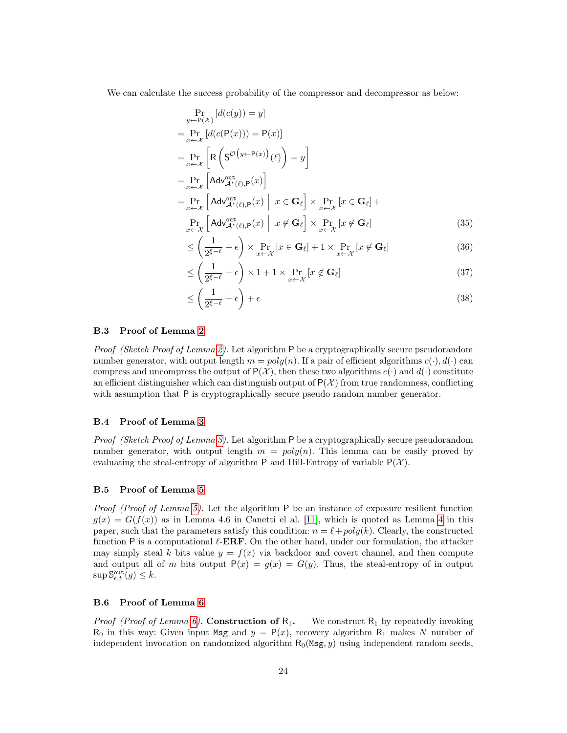We can calculate the success probability of the compressor and decompressor as below:

$$
\Pr_{y \leftarrow P(\mathcal{X})} [d(c(y)) = y]
$$
\n
$$
= \Pr_{x \leftarrow \mathcal{X}} [d(c(P(x))) = P(x)]
$$
\n
$$
= \Pr_{x \leftarrow \mathcal{X}} \left[ R \left( S^{\mathcal{O}(y \leftarrow P(x))}(\ell) \right) = y \right] \right]
$$
\n
$$
= \Pr_{x \leftarrow \mathcal{X}} \left[ A d v_{\mathcal{A}^*(\ell), P}^{\text{out}}(x) \right]
$$
\n
$$
= \Pr_{x \leftarrow \mathcal{X}} \left[ A d v_{\mathcal{A}^*(\ell), P}^{\text{out}}(x) \mid x \in \mathbf{G}_{\ell} \right] \times \Pr_{x \leftarrow \mathcal{X}} [x \in \mathbf{G}_{\ell}] +
$$
\n
$$
\Pr_{x \leftarrow \mathcal{X}} \left[ A d v_{\mathcal{A}^*(\ell), P}^{\text{out}}(x) \mid x \notin \mathbf{G}_{\ell} \right] \times \Pr_{x \leftarrow \mathcal{X}} [x \notin \mathbf{G}_{\ell}] \tag{35}
$$

$$
\leq \left(\frac{1}{2^{\xi-\ell}}+\epsilon\right) \times \Pr_{x \leftarrow \mathcal{X}}\left[x \in \mathbf{G}_{\ell}\right] + 1 \times \Pr_{x \leftarrow \mathcal{X}}\left[x \notin \mathbf{G}_{\ell}\right] \tag{36}
$$

$$
\leq \left(\frac{1}{2^{\xi-\ell}} + \epsilon\right) \times 1 + 1 \times \Pr_{x \leftarrow \mathcal{X}} \left[x \notin \mathbf{G}_{\ell}\right] \tag{37}
$$

$$
\leq \left(\frac{1}{2^{\xi-\ell}}+\epsilon\right)+\epsilon\tag{38}
$$

# <span id="page-23-0"></span>B.3 Proof of Lemma [2](#page-12-2)

Proof (Sketch Proof of Lemma [2\)](#page-12-2). Let algorithm P be a cryptographically secure pseudorandom number generator, with output length  $m = poly(n)$ . If a pair of efficient algorithms  $c(\cdot), d(\cdot)$  can compress and uncompress the output of  $P(\mathcal{X})$ , then these two algorithms  $c(\cdot)$  and  $d(\cdot)$  constitute an efficient distinguisher which can distinguish output of  $P(\mathcal{X})$  from true randomness, conflicting with assumption that P is cryptographically secure pseudo random number generator.

#### <span id="page-23-1"></span>B.4 Proof of Lemma [3](#page-12-3)

Proof (Sketch Proof of Lemma [3\)](#page-12-3). Let algorithm P be a cryptographically secure pseudorandom number generator, with output length  $m = poly(n)$ . This lemma can be easily proved by evaluating the steal-entropy of algorithm P and Hill-Entropy of variable  $P(\mathcal{X})$ .

#### <span id="page-23-2"></span>B.5 Proof of Lemma [5](#page-13-1)

Proof (Proof of Lemma [5\)](#page-13-1). Let the algorithm P be an instance of exposure resilient function  $g(x) = G(f(x))$  as in Lemma 4.6 in Canetti el al. [\[11\]](#page-20-12), which is quoted as Lemma [4](#page-12-4) in this paper, such that the parameters satisfy this condition:  $n = \ell + poly(k)$ . Clearly, the constructed function P is a computational  $\ell$ -**ERF**. On the other hand, under our formulation, the attacker may simply steal k bits value  $y = f(x)$  via backdoor and covert channel, and then compute and output all of m bits output  $P(x) = g(x) = G(y)$ . Thus, the steal-entropy of in output  $\sup \mathbb{S}_{\epsilon,t}^{\text{out}}(g) \leq k.$ 

#### <span id="page-23-3"></span>B.6 Proof of Lemma [6](#page-16-1)

*Proof (Proof of Lemma [6\)](#page-16-1)*. Construction of  $R_1$ . We construct  $R_1$  by repeatedly invoking  $R_0$  in this way: Given input Msg and  $y = P(x)$ , recovery algorithm  $R_1$  makes N number of independent invocation on randomized algorithm  $R_0(Msg, y)$  using independent random seeds,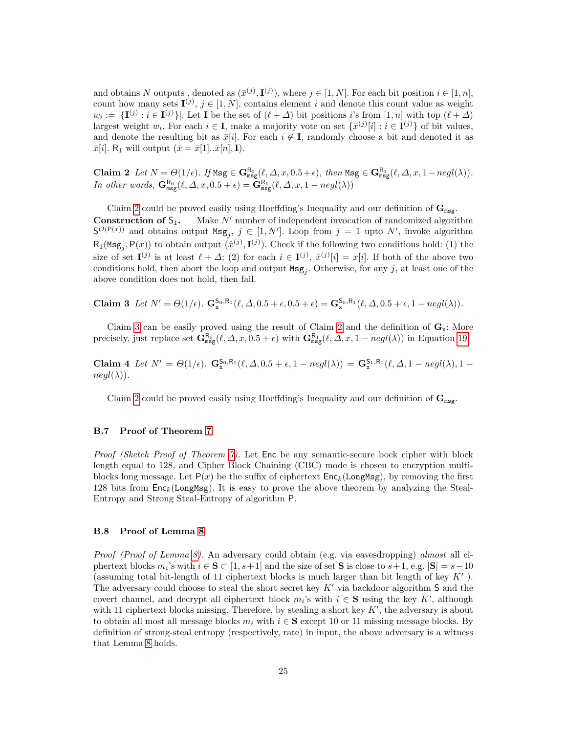and obtains N outputs, denoted as  $(\bar{x}^{(j)}, \mathbf{I}^{(j)})$ , where  $j \in [1, N]$ . For each bit position  $i \in [1, n]$ , count how many sets  $I^{(j)}$ ,  $j \in [1, N]$ , contains element i and denote this count value as weight  $w_i := |\{\mathbf{I}^{(j)} : i \in \mathbf{I}^{(j)}\}|.$  Let **I** be the set of  $(\ell + \Delta)$  bit positions i's from  $[1, n]$  with top  $(\ell + \Delta)$ largest weight  $w_i$ . For each  $i \in I$ , make a majority vote on set  $\{\bar{x}^{(j)}[i]: i \in I^{(j)}\}$  of bit values, and denote the resulting bit as  $\bar{x}[i]$ . For each  $i \notin I$ , randomly choose a bit and denoted it as  $\bar{x}[i]$ . R<sub>1</sub> will output  $(\bar{x} = \bar{x}[1]..\bar{x}[n], \mathbf{I}).$ 

<span id="page-24-2"></span>Claim 2 Let  $N = \Theta(1/\epsilon)$ . If  $\text{Msg} \in \mathbf{G}_{\text{msg}}^{\mathsf{R}_0}(\ell, \Delta, x, 0.5 + \epsilon)$ , then  $\text{Msg} \in \mathbf{G}_{\text{msg}}^{\mathsf{R}_1}(\ell, \Delta, x, 1 - negl(\lambda))$ . In other words,  $\mathbf{G}_{\text{msg}}^{\text{R}_0}(\ell, \Delta, x, 0.5 + \epsilon) = \mathbf{G}_{\text{msg}}^{\text{R}_1}(\ell, \Delta, x, 1 - negl(\lambda))$ 

Claim [2](#page-24-2) could be proved easily using Hoeffding's Inequality and our definition of  $G_{\text{msg}}$ . **Construction of**  $S_1$ **.** Make N' number of independent invocation of randomized algorithm  $S^{\mathcal{O}(P(x))}$  and obtains output  $\text{Msg}_j$ ,  $j \in [1, N']$ . Loop from  $j = 1$  upto N', invoke algorithm  $R_1(Msg_j, P(x))$  to obtain output  $(\hat{x}^{(j)}, I^{(j)})$ . Check if the following two conditions hold: (1) the size of set  $I^{(j)}$  is at least  $\ell + \Delta$ ; (2) for each  $i \in I^{(j)}$ ,  $\hat{x}^{(j)}[i] = x[i]$ . If both of the above two conditions hold, then abort the loop and output  $\text{Msg}_j$ . Otherwise, for any j, at least one of the above condition does not hold, then fail.

<span id="page-24-3"></span>Claim 3 Let  $N' = \Theta(1/\epsilon)$ .  $\mathbf{G}_{\mathbf{x}}^{\mathbf{S}_0, \mathbf{R}_0}(\ell, \Delta, 0.5 + \epsilon, 0.5 + \epsilon) = \mathbf{G}_{\mathbf{x}}^{\mathbf{S}_0, \mathbf{R}_1}(\ell, \Delta, 0.5 + \epsilon, 1 - negl(\lambda)).$ 

Claim [3](#page-24-3) can be easily proved using the result of Claim [2](#page-24-2) and the definition of  $\mathbf{G}_{x}$ : More precisely, just replace set  $\mathbf{G}_{\text{msg}}^{\text{R}_{0}}(\ell, \Delta, x, 0.5 + \epsilon)$  with  $\mathbf{G}_{\text{msg}}^{\text{R}_{1}}(\ell, \Delta, x, 1 - negl(\lambda))$  in Equation [19.](#page-15-2)

Claim 4 Let  $N' = \Theta(1/\epsilon)$ .  $\mathbf{G}_{\mathbf{x}}^{\mathbf{S}_0, \mathbf{R}_1}(\ell, \Delta, 0.5 + \epsilon, 1 - negl(\lambda)) = \mathbf{G}_{\mathbf{x}}^{\mathbf{S}_1, \mathbf{R}_1}(\ell, \Delta, 1 - negl(\lambda), 1$  $negl(\lambda)).$ 

Claim [2](#page-24-2) could be proved easily using Hoeffding's Inequality and our definition of  $\mathbf{G}_{\text{msg}}$ .

#### <span id="page-24-0"></span>B.7 Proof of Theorem [7](#page-16-2)

Proof (Sketch Proof of Theorem [7\)](#page-16-2). Let Enc be any semantic-secure bock cipher with block length equal to 128, and Cipher Block Chaining (CBC) mode is chosen to encryption multiblocks long message. Let  $P(x)$  be the suffix of ciphertext  $Enc_k(\text{LongMsg})$ , by removing the first 128 bits from  $Enc_k(\text{LongMsg})$ . It is easy to prove the above theorem by analyzing the Steal-Entropy and Strong Steal-Entropy of algorithm P.

#### <span id="page-24-1"></span>B.8 Proof of Lemma [8](#page-16-3)

Proof (Proof of Lemma [8\)](#page-16-3). An adversary could obtain (e.g. via eavesdropping) almost all ciphertext blocks  $m_i$ 's with  $i \in \mathbf{S} \subset [1, s+1]$  and the size of set  $\mathbf{S}$  is close to  $s+1$ , e.g.  $|\mathbf{S}| = s-10$ (assuming total bit-length of 11 ciphertext blocks is much larger than bit length of key  $K'$ ). The adversary could choose to steal the short secret key  $K'$  via backdoor algorithm S and the covert channel, and decrypt all ciphertext block  $m_i$ 's with  $i \in S$  using the key K', although with 11 ciphertext blocks missing. Therefore, by stealing a short key  $K'$ , the adversary is about to obtain all most all message blocks  $m_i$  with  $i \in S$  except 10 or 11 missing message blocks. By definition of strong-steal entropy (respectively, rate) in input, the above adversary is a witness that Lemma [8](#page-16-3) holds.